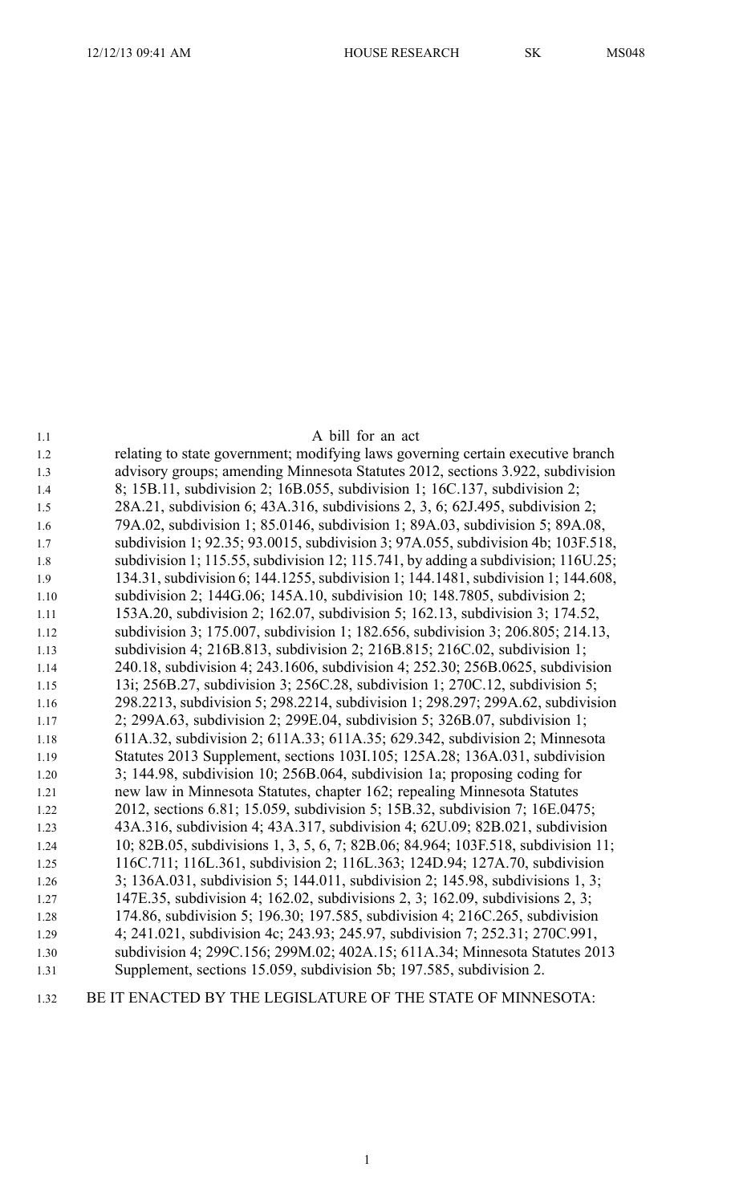| 1.1  | A bill for an act                                                                 |
|------|-----------------------------------------------------------------------------------|
| 1.2  | relating to state government; modifying laws governing certain executive branch   |
| 1.3  | advisory groups; amending Minnesota Statutes 2012, sections 3.922, subdivision    |
| 1.4  | 8; 15B.11, subdivision 2; 16B.055, subdivision 1; 16C.137, subdivision 2;         |
| 1.5  | 28A.21, subdivision 6; 43A.316, subdivisions 2, 3, 6; 62J.495, subdivision 2;     |
| 1.6  | 79A.02, subdivision 1; 85.0146, subdivision 1; 89A.03, subdivision 5; 89A.08,     |
| 1.7  | subdivision 1; 92.35; 93.0015, subdivision 3; 97A.055, subdivision 4b; 103F.518,  |
| 1.8  | subdivision 1; 115.55, subdivision 12; 115.741, by adding a subdivision; 116U.25; |
| 1.9  | 134.31, subdivision 6; 144.1255, subdivision 1; 144.1481, subdivision 1; 144.608, |
| 1.10 | subdivision 2; 144G.06; 145A.10, subdivision 10; 148.7805, subdivision 2;         |
| 1.11 | 153A.20, subdivision 2; 162.07, subdivision 5; 162.13, subdivision 3; 174.52,     |
| 1.12 | subdivision 3; 175.007, subdivision 1; 182.656, subdivision 3; 206.805; 214.13,   |
| 1.13 | subdivision 4; 216B.813, subdivision 2; 216B.815; 216C.02, subdivision 1;         |
| 1.14 | 240.18, subdivision 4; 243.1606, subdivision 4; 252.30; 256B.0625, subdivision    |
| 1.15 | 13i; 256B.27, subdivision 3; 256C.28, subdivision 1; 270C.12, subdivision 5;      |
| 1.16 | 298.2213, subdivision 5; 298.2214, subdivision 1; 298.297; 299A.62, subdivision   |
| 1.17 | 2; 299A.63, subdivision 2; 299E.04, subdivision 5; 326B.07, subdivision 1;        |
| 1.18 | 611A.32, subdivision 2; 611A.33; 611A.35; 629.342, subdivision 2; Minnesota       |
| 1.19 | Statutes 2013 Supplement, sections 103I.105; 125A.28; 136A.031, subdivision       |
| 1.20 | 3; 144.98, subdivision 10; 256B.064, subdivision 1a; proposing coding for         |
| 1.21 | new law in Minnesota Statutes, chapter 162; repealing Minnesota Statutes          |
| 1.22 | 2012, sections 6.81; 15.059, subdivision 5; 15B.32, subdivision 7; 16E.0475;      |
| 1.23 | 43A.316, subdivision 4; 43A.317, subdivision 4; 62U.09; 82B.021, subdivision      |
| 1.24 | 10; 82B.05, subdivisions 1, 3, 5, 6, 7; 82B.06; 84.964; 103F.518, subdivision 11; |
| 1.25 | 116C.711; 116L.361, subdivision 2; 116L.363; 124D.94; 127A.70, subdivision        |
| 1.26 | 3; 136A.031, subdivision 5; 144.011, subdivision 2; 145.98, subdivisions 1, 3;    |
| 1.27 | 147E.35, subdivision 4; 162.02, subdivisions 2, 3; 162.09, subdivisions 2, 3;     |
| 1.28 | 174.86, subdivision 5; 196.30; 197.585, subdivision 4; 216C.265, subdivision      |
| 1.29 | 4; 241.021, subdivision 4c; 243.93; 245.97, subdivision 7; 252.31; 270C.991,      |
| 1.30 | subdivision 4; 299C.156; 299M.02; 402A.15; 611A.34; Minnesota Statutes 2013       |
| 1.31 | Supplement, sections 15.059, subdivision 5b; 197.585, subdivision 2.              |

## 1.32 BE IT ENACTED BY THE LEGISLATURE OF THE STATE OF MINNESOTA: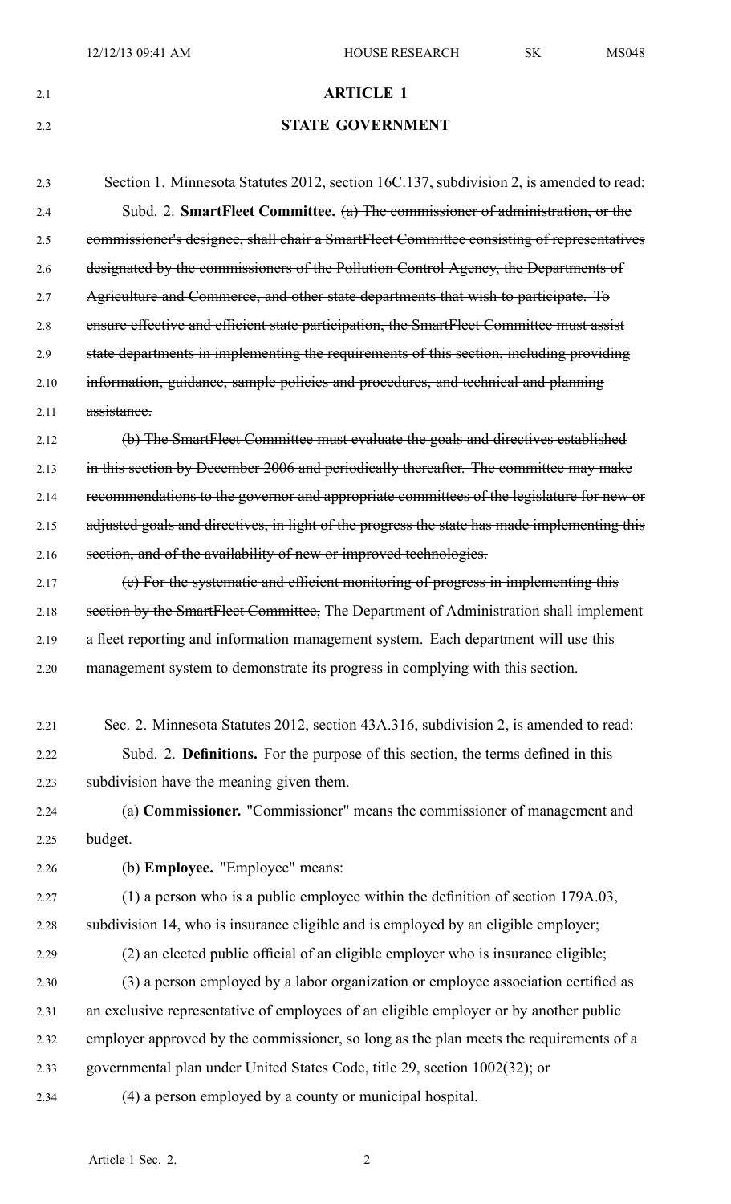# 2.1 **ARTICLE 1**

# 2.2 **STATE GOVERNMENT**

2.3 Section 1. Minnesota Statutes 2012, section 16C.137, subdivision 2, is amended to read: 2.4 Subd. 2. **SmartFleet Committee.** (a) The commissioner of administration, or the 2.5 commissioner's designee, shall chair <sup>a</sup> SmartFleet Committee consisting of representatives 2.6 designated by the commissioners of the Pollution Control Agency, the Departments of 2.7 Agriculture and Commerce, and other state departments that wish to participate. To 2.8 ensure effective and efficient state participation, the SmartFleet Committee must assist 2.9 state departments in implementing the requirements of this section, including providing 2.10 information, guidance, sample policies and procedures, and technical and planning 2.11 assistance. 2.12 (b) The SmartFleet Committee must evaluate the goals and directives established 2.13 in this section by December 2006 and periodically thereafter. The committee may make 2.14 recommendations to the governor and appropriate committees of the legislature for new or 2.15 adjusted goals and directives, in light of the progress the state has made implementing this 2.16 section, and of the availability of new or improved technologies. 2.17 (c) For the systematic and efficient monitoring of progress in implementing this 2.18 section by the SmartFleet Committee, The Department of Administration shall implement 2.19 <sup>a</sup> fleet reporting and information managemen<sup>t</sup> system. Each department will use this 2.20 managemen<sup>t</sup> system to demonstrate its progress in complying with this section. 2.21 Sec. 2. Minnesota Statutes 2012, section 43A.316, subdivision 2, is amended to read: 2.22 Subd. 2. **Definitions.** For the purpose of this section, the terms defined in this 2.23 subdivision have the meaning given them. 2.24 (a) **Commissioner.** "Commissioner" means the commissioner of managemen<sup>t</sup> and 2.25 budget. 2.26 (b) **Employee.** "Employee" means: 2.27 (1) <sup>a</sup> person who is <sup>a</sup> public employee within the definition of section 179A.03, 2.28 subdivision 14, who is insurance eligible and is employed by an eligible employer; 2.29 (2) an elected public official of an eligible employer who is insurance eligible; 2.30 (3) <sup>a</sup> person employed by <sup>a</sup> labor organization or employee association certified as 2.31 an exclusive representative of employees of an eligible employer or by another public 2.32 employer approved by the commissioner, so long as the plan meets the requirements of <sup>a</sup>

2.33 governmental plan under United States Code, title 29, section 1002(32); or

2.34 (4) <sup>a</sup> person employed by <sup>a</sup> county or municipal hospital.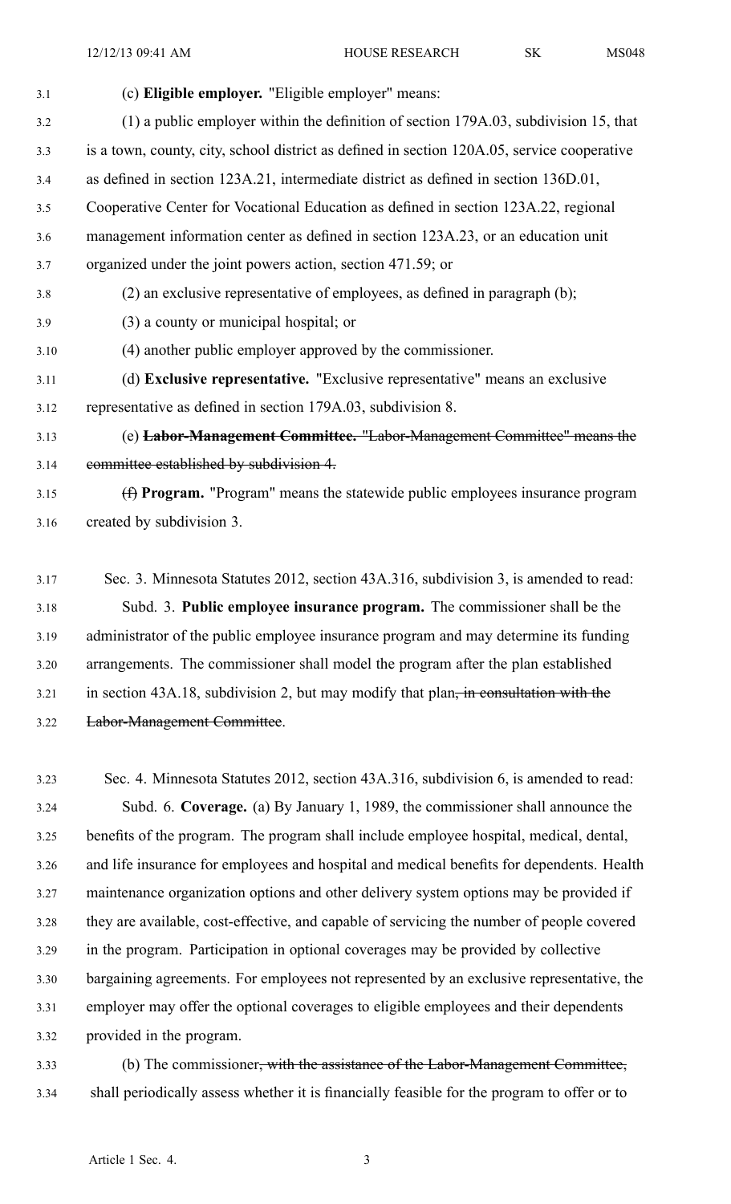| 3.1  | (c) Eligible employer. "Eligible employer" means:                                           |
|------|---------------------------------------------------------------------------------------------|
| 3.2  | (1) a public employer within the definition of section 179A.03, subdivision 15, that        |
| 3.3  | is a town, county, city, school district as defined in section 120A.05, service cooperative |
| 3.4  | as defined in section 123A.21, intermediate district as defined in section 136D.01,         |
| 3.5  | Cooperative Center for Vocational Education as defined in section 123A.22, regional         |
| 3.6  | management information center as defined in section 123A.23, or an education unit           |
| 3.7  | organized under the joint powers action, section 471.59; or                                 |
| 3.8  | $(2)$ an exclusive representative of employees, as defined in paragraph $(b)$ ;             |
| 3.9  | (3) a county or municipal hospital; or                                                      |
| 3.10 | (4) another public employer approved by the commissioner.                                   |
| 3.11 | (d) Exclusive representative. "Exclusive representative" means an exclusive                 |
| 3.12 | representative as defined in section 179A.03, subdivision 8.                                |
| 3.13 | (e) Labor-Management Committee. "Labor-Management Committee" means the                      |
| 3.14 | committee established by subdivision 4.                                                     |
| 3.15 | (f) Program. "Program" means the statewide public employees insurance program               |
| 3.16 | created by subdivision 3.                                                                   |

- 3.17 Sec. 3. Minnesota Statutes 2012, section 43A.316, subdivision 3, is amended to read: 3.18 Subd. 3. **Public employee insurance program.** The commissioner shall be the 3.19 administrator of the public employee insurance program and may determine its funding 3.20 arrangements. The commissioner shall model the program after the plan established 3.21 in section 43A.18, subdivision 2, but may modify that plan, in consultation with the 3.22 Labor-Management Committee.
- 3.23 Sec. 4. Minnesota Statutes 2012, section 43A.316, subdivision 6, is amended to read: 3.24 Subd. 6. **Coverage.** (a) By January 1, 1989, the commissioner shall announce the 3.25 benefits of the program. The program shall include employee hospital, medical, dental, 3.26 and life insurance for employees and hospital and medical benefits for dependents. Health 3.27 maintenance organization options and other delivery system options may be provided if 3.28 they are available, cost-effective, and capable of servicing the number of people covered 3.29 in the program. Participation in optional coverages may be provided by collective 3.30 bargaining agreements. For employees not represented by an exclusive representative, the 3.31 employer may offer the optional coverages to eligible employees and their dependents 3.32 provided in the program.
- 3.33 (b) The commissioner, with the assistance of the Labor-Management Committee, 3.34 shall periodically assess whether it is financially feasible for the program to offer or to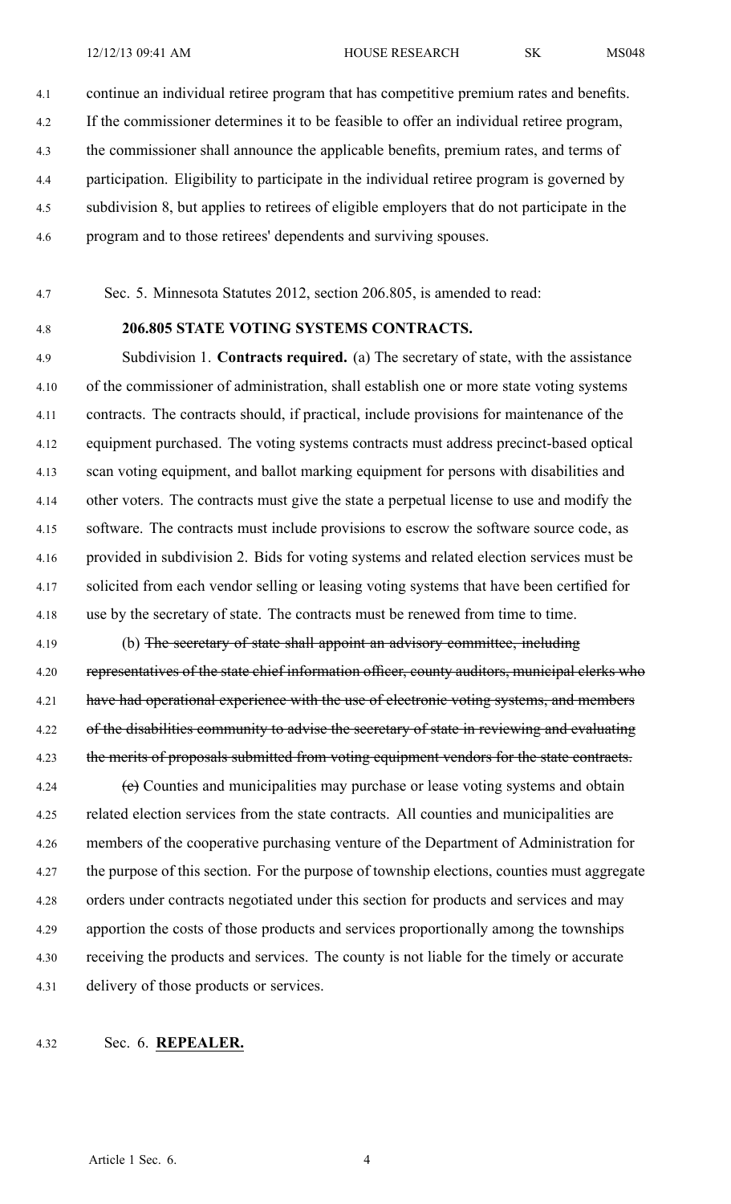4.1 continue an individual retiree program that has competitive premium rates and benefits. 4.2 If the commissioner determines it to be feasible to offer an individual retiree program, 4.3 the commissioner shall announce the applicable benefits, premium rates, and terms of 4.4 participation. Eligibility to participate in the individual retiree program is governed by 4.5 subdivision 8, but applies to retirees of eligible employers that do not participate in the 4.6 program and to those retirees' dependents and surviving spouses.

4.7 Sec. 5. Minnesota Statutes 2012, section 206.805, is amended to read:

#### 4.8 **206.805 STATE VOTING SYSTEMS CONTRACTS.**

4.9 Subdivision 1. **Contracts required.** (a) The secretary of state, with the assistance 4.10 of the commissioner of administration, shall establish one or more state voting systems 4.11 contracts. The contracts should, if practical, include provisions for maintenance of the 4.12 equipment purchased. The voting systems contracts must address precinct-based optical 4.13 scan voting equipment, and ballot marking equipment for persons with disabilities and 4.14 other voters. The contracts must give the state <sup>a</sup> perpetual license to use and modify the 4.15 software. The contracts must include provisions to escrow the software source code, as 4.16 provided in subdivision 2. Bids for voting systems and related election services must be 4.17 solicited from each vendor selling or leasing voting systems that have been certified for 4.18 use by the secretary of state. The contracts must be renewed from time to time.

4.19 (b) The secretary of state shall appoint an advisory committee, including 4.20 representatives of the state chief information officer, county auditors, municipal clerks who 4.21 have had operational experience with the use of electronic voting systems, and members 4.22 of the disabilities community to advise the secretary of state in reviewing and evaluating 4.23 the merits of proposals submitted from voting equipment vendors for the state contracts.

4.24 (e) Counties and municipalities may purchase or lease voting systems and obtain 4.25 related election services from the state contracts. All counties and municipalities are 4.26 members of the cooperative purchasing venture of the Department of Administration for 4.27 the purpose of this section. For the purpose of township elections, counties must aggregate 4.28 orders under contracts negotiated under this section for products and services and may 4.29 apportion the costs of those products and services proportionally among the townships 4.30 receiving the products and services. The county is not liable for the timely or accurate 4.31 delivery of those products or services.

#### 4.32 Sec. 6. **REPEALER.**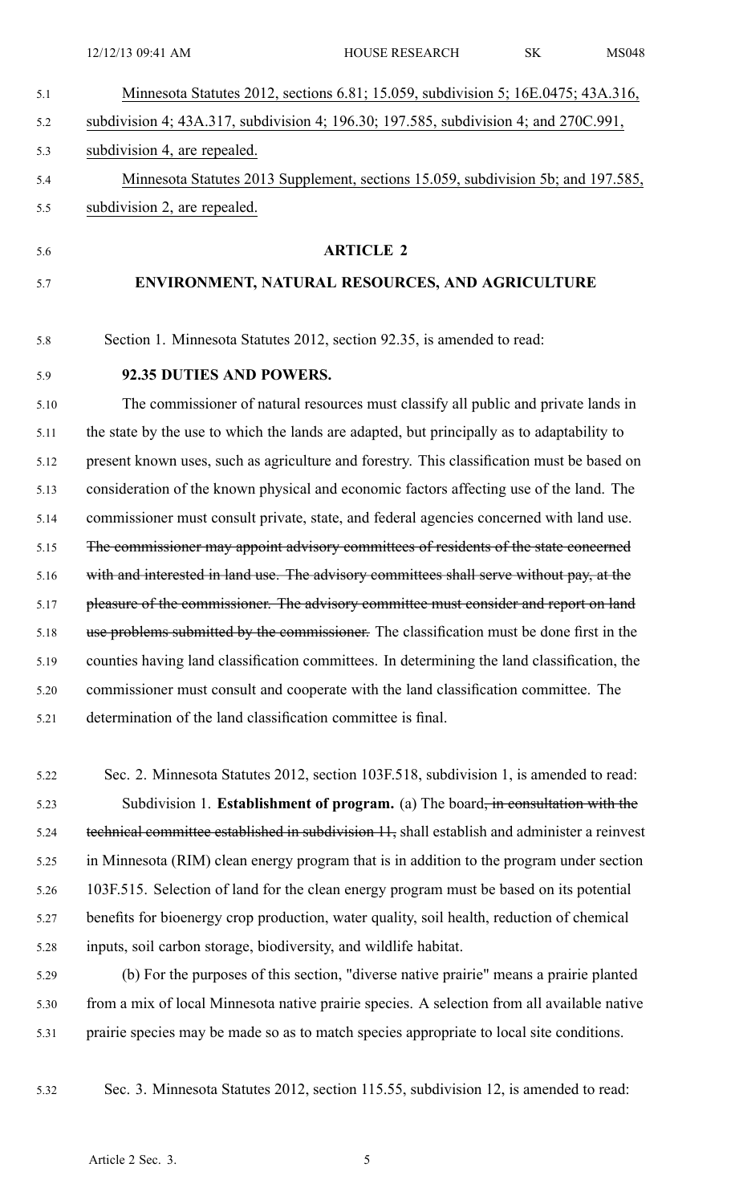| Minnesota Statutes 2012, sections 6.81; 15.059, subdivision 5; 16E.0475; 43A.316, |
|-----------------------------------------------------------------------------------|
|                                                                                   |

- 5.2 subdivision 4; 43A.317, subdivision 4; 196.30; 197.585, subdivision 4; and 270C.991,
- 5.3 subdivision 4, are repealed.
- 5.4 Minnesota Statutes 2013 Supplement, sections 15.059, subdivision 5b; and 197.585, 5.5 subdivision 2, are repealed.
- 

#### 5.6 **ARTICLE 2**

## 5.7 **ENVIRONMENT, NATURAL RESOURCES, AND AGRICULTURE**

5.8 Section 1. Minnesota Statutes 2012, section 92.35, is amended to read:

## 5.9 **92.35 DUTIES AND POWERS.**

5.10 The commissioner of natural resources must classify all public and private lands in 5.11 the state by the use to which the lands are adapted, but principally as to adaptability to 5.12 presen<sup>t</sup> known uses, such as agriculture and forestry. This classification must be based on 5.13 consideration of the known physical and economic factors affecting use of the land. The 5.14 commissioner must consult private, state, and federal agencies concerned with land use. 5.15 The commissioner may appoint advisory committees of residents of the state concerned 5.16 with and interested in land use. The advisory committees shall serve without pay, at the 5.17 pleasure of the commissioner. The advisory committee must consider and report on land 5.18 use problems submitted by the commissioner. The classification must be done first in the 5.19 counties having land classification committees. In determining the land classification, the 5.20 commissioner must consult and cooperate with the land classification committee. The 5.21 determination of the land classification committee is final.

- 5.22 Sec. 2. Minnesota Statutes 2012, section 103F.518, subdivision 1, is amended to read: 5.23 Subdivision 1. **Establishment of program.** (a) The board, in consultation with the 5.24 technical committee established in subdivision 11, shall establish and administer a reinvest 5.25 in Minnesota (RIM) clean energy program that is in addition to the program under section 5.26 103F.515. Selection of land for the clean energy program must be based on its potential 5.27 benefits for bioenergy crop production, water quality, soil health, reduction of chemical 5.28 inputs, soil carbon storage, biodiversity, and wildlife habitat.
- 5.29 (b) For the purposes of this section, "diverse native prairie" means <sup>a</sup> prairie planted 5.30 from <sup>a</sup> mix of local Minnesota native prairie species. A selection from all available native 5.31 prairie species may be made so as to match species appropriate to local site conditions.
- 

5.32 Sec. 3. Minnesota Statutes 2012, section 115.55, subdivision 12, is amended to read: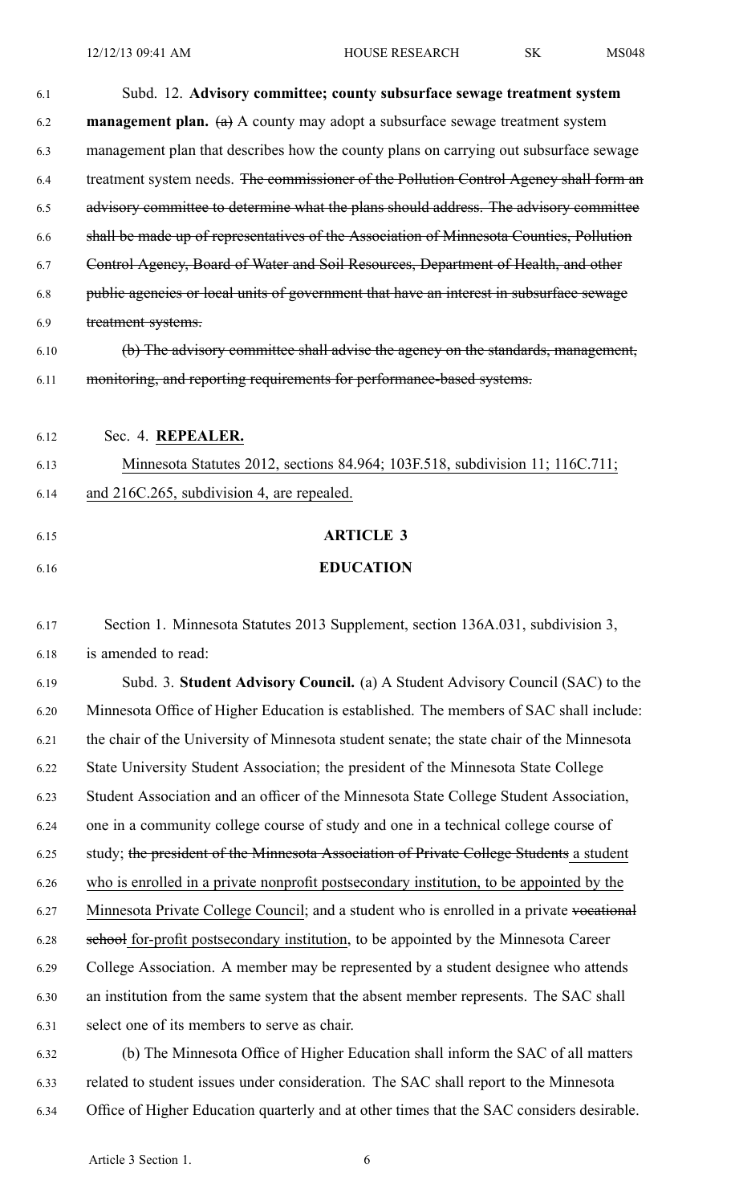12/12/13 09:41 AM HOUSE RESEARCH SK MS048

| Subd. 12. Advisory committee; county subsurface sewage treatment system                   |
|-------------------------------------------------------------------------------------------|
| <b>management plan.</b> (a) A county may adopt a subsurface sewage treatment system       |
| management plan that describes how the county plans on carrying out subsurface sewage     |
| treatment system needs. The commissioner of the Pollution Control Agency shall form an    |
| advisory committee to determine what the plans should address. The advisory committee     |
| shall be made up of representatives of the Association of Minnesota Counties, Pollution   |
| Control Agency, Board of Water and Soil Resources, Department of Health, and other        |
| public agencies or local units of government that have an interest in subsurface sewage   |
| treatment systems.                                                                        |
| (b) The advisory committee shall advise the agency on the standards, management,          |
| monitoring, and reporting requirements for performance-based systems.                     |
|                                                                                           |
| Sec. 4. REPEALER.                                                                         |
| Minnesota Statutes 2012, sections 84.964; 103F.518, subdivision 11; 116C.711;             |
| and 216C.265, subdivision 4, are repealed.                                                |
|                                                                                           |
|                                                                                           |
| <b>ARTICLE 3</b>                                                                          |
| <b>EDUCATION</b>                                                                          |
| Section 1. Minnesota Statutes 2013 Supplement, section 136A.031, subdivision 3,           |
| is amended to read:                                                                       |
| Subd. 3. Student Advisory Council. (a) A Student Advisory Council (SAC) to the            |
| Minnesota Office of Higher Education is established. The members of SAC shall include:    |
| the chair of the University of Minnesota student senate; the state chair of the Minnesota |
| State University Student Association; the president of the Minnesota State College        |
| Student Association and an officer of the Minnesota State College Student Association,    |
| one in a community college course of study and one in a technical college course of       |
| study; the president of the Minnesota Association of Private College Students a student   |
| who is enrolled in a private nonprofit postsecondary institution, to be appointed by the  |
| Minnesota Private College Council; and a student who is enrolled in a private vocational  |
| school for-profit postsecondary institution, to be appointed by the Minnesota Career      |
|                                                                                           |

6.30 an institution from the same system that the absent member represents. The SAC shall

- 6.31 select one of its members to serve as chair.
- 6.32 (b) The Minnesota Office of Higher Education shall inform the SAC of all matters 6.33 related to student issues under consideration. The SAC shall repor<sup>t</sup> to the Minnesota 6.34 Office of Higher Education quarterly and at other times that the SAC considers desirable.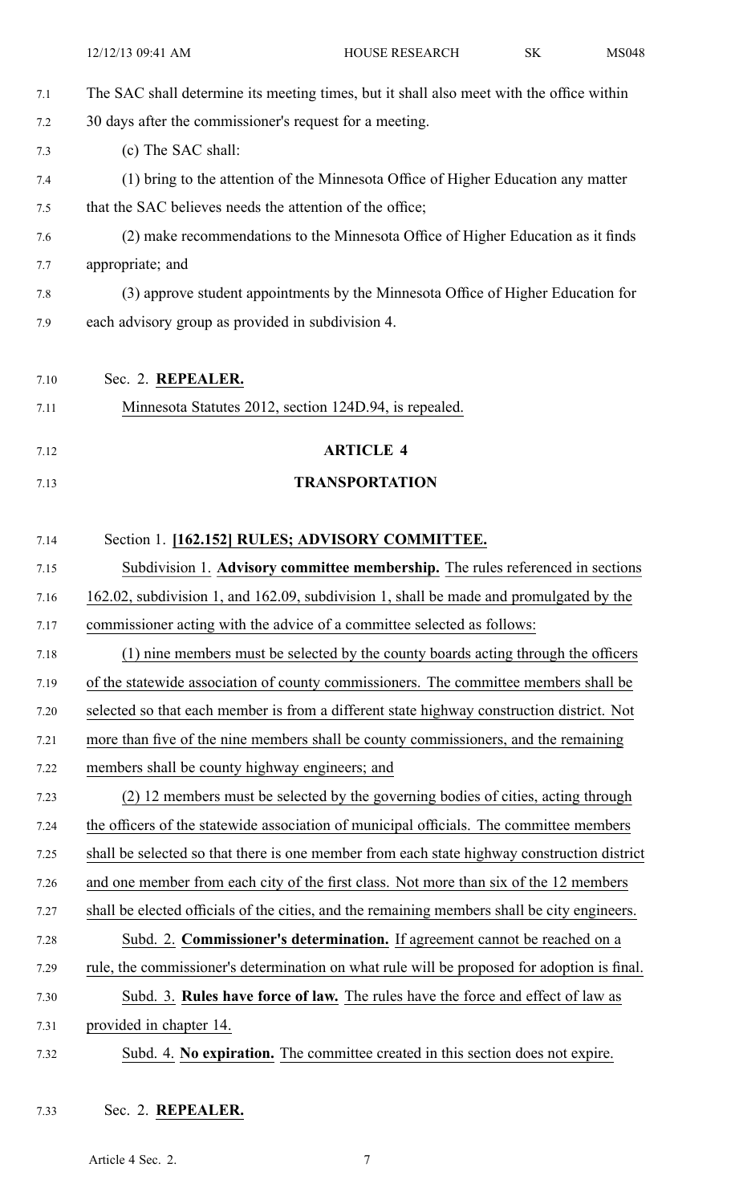|      | 12/12/13 09:41 AM                                                                            | HOUSE RESEARCH        | SK | <b>MS048</b> |
|------|----------------------------------------------------------------------------------------------|-----------------------|----|--------------|
| 7.1  | The SAC shall determine its meeting times, but it shall also meet with the office within     |                       |    |              |
| 7.2  | 30 days after the commissioner's request for a meeting.                                      |                       |    |              |
| 7.3  | (c) The SAC shall:                                                                           |                       |    |              |
| 7.4  | (1) bring to the attention of the Minnesota Office of Higher Education any matter            |                       |    |              |
| 7.5  | that the SAC believes needs the attention of the office;                                     |                       |    |              |
| 7.6  | (2) make recommendations to the Minnesota Office of Higher Education as it finds             |                       |    |              |
| 7.7  | appropriate; and                                                                             |                       |    |              |
| 7.8  | (3) approve student appointments by the Minnesota Office of Higher Education for             |                       |    |              |
| 7.9  | each advisory group as provided in subdivision 4.                                            |                       |    |              |
|      |                                                                                              |                       |    |              |
| 7.10 | Sec. 2. REPEALER.                                                                            |                       |    |              |
| 7.11 | Minnesota Statutes 2012, section 124D.94, is repealed.                                       |                       |    |              |
| 7.12 |                                                                                              | <b>ARTICLE 4</b>      |    |              |
| 7.13 |                                                                                              | <b>TRANSPORTATION</b> |    |              |
|      |                                                                                              |                       |    |              |
| 7.14 | Section 1. [162.152] RULES; ADVISORY COMMITTEE.                                              |                       |    |              |
| 7.15 | Subdivision 1. Advisory committee membership. The rules referenced in sections               |                       |    |              |
| 7.16 | 162.02, subdivision 1, and 162.09, subdivision 1, shall be made and promulgated by the       |                       |    |              |
| 7.17 | commissioner acting with the advice of a committee selected as follows:                      |                       |    |              |
| 7.18 | (1) nine members must be selected by the county boards acting through the officers           |                       |    |              |
| 7.19 | of the statewide association of county commissioners. The committee members shall be         |                       |    |              |
| 7.20 | selected so that each member is from a different state highway construction district. Not    |                       |    |              |
| 7.21 | more than five of the nine members shall be county commissioners, and the remaining          |                       |    |              |
| 7.22 | members shall be county highway engineers; and                                               |                       |    |              |
| 7.23 | (2) 12 members must be selected by the governing bodies of cities, acting through            |                       |    |              |
| 7.24 | the officers of the statewide association of municipal officials. The committee members      |                       |    |              |
| 7.25 | shall be selected so that there is one member from each state highway construction district  |                       |    |              |
| 7.26 | and one member from each city of the first class. Not more than six of the 12 members        |                       |    |              |
| 7.27 | shall be elected officials of the cities, and the remaining members shall be city engineers. |                       |    |              |
| 7.28 | Subd. 2. Commissioner's determination. If agreement cannot be reached on a                   |                       |    |              |
| 7.29 | rule, the commissioner's determination on what rule will be proposed for adoption is final.  |                       |    |              |
| 7.30 | Subd. 3. Rules have force of law. The rules have the force and effect of law as              |                       |    |              |
| 7.31 | provided in chapter 14.                                                                      |                       |    |              |
| 7.32 | Subd. 4. No expiration. The committee created in this section does not expire.               |                       |    |              |
|      |                                                                                              |                       |    |              |

# 7.33 Sec. 2. **REPEALER.**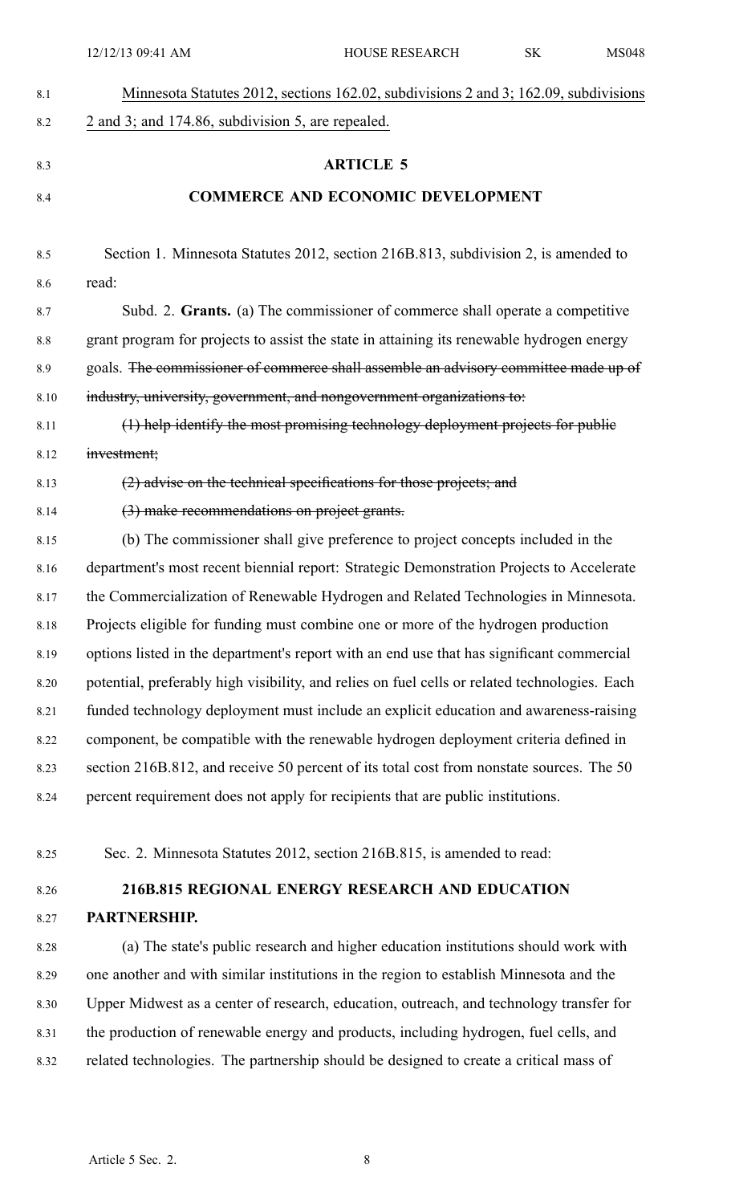| 8.1  | Minnesota Statutes 2012, sections 162.02, subdivisions 2 and 3; 162.09, subdivisions          |
|------|-----------------------------------------------------------------------------------------------|
| 8.2  | 2 and 3; and 174.86, subdivision 5, are repealed.                                             |
|      |                                                                                               |
| 8.3  | <b>ARTICLE 5</b>                                                                              |
| 8.4  | <b>COMMERCE AND ECONOMIC DEVELOPMENT</b>                                                      |
|      |                                                                                               |
| 8.5  | Section 1. Minnesota Statutes 2012, section 216B.813, subdivision 2, is amended to<br>read:   |
| 8.6  |                                                                                               |
| 8.7  | Subd. 2. Grants. (a) The commissioner of commerce shall operate a competitive                 |
| 8.8  | grant program for projects to assist the state in attaining its renewable hydrogen energy     |
| 8.9  | goals. The commissioner of commerce shall assemble an advisory committee made up of           |
| 8.10 | industry, university, government, and nongovernment organizations to:                         |
| 8.11 | (1) help identify the most promising technology deployment projects for public                |
| 8.12 | investment;                                                                                   |
| 8.13 | (2) advise on the technical specifications for those projects; and                            |
| 8.14 | (3) make recommendations on project grants.                                                   |
| 8.15 | (b) The commissioner shall give preference to project concepts included in the                |
| 8.16 | department's most recent biennial report: Strategic Demonstration Projects to Accelerate      |
| 8.17 | the Commercialization of Renewable Hydrogen and Related Technologies in Minnesota.            |
| 8.18 | Projects eligible for funding must combine one or more of the hydrogen production             |
| 8.19 | options listed in the department's report with an end use that has significant commercial     |
| 8.20 | potential, preferably high visibility, and relies on fuel cells or related technologies. Each |
| 8.21 | funded technology deployment must include an explicit education and awareness-raising         |
| 8.22 | component, be compatible with the renewable hydrogen deployment criteria defined in           |
| 8.23 | section 216B.812, and receive 50 percent of its total cost from nonstate sources. The 50      |
| 8.24 | percent requirement does not apply for recipients that are public institutions.               |
|      |                                                                                               |
| 8.25 | Sec. 2. Minnesota Statutes 2012, section 216B.815, is amended to read:                        |
| 8.26 | 216B.815 REGIONAL ENERGY RESEARCH AND EDUCATION                                               |
| 8.27 | PARTNERSHIP.                                                                                  |
| 8.28 | (a) The state's public research and higher education institutions should work with            |
| 8.29 | one another and with similar institutions in the region to establish Minnesota and the        |
| 8.30 | Upper Midwest as a center of research, education, outreach, and technology transfer for       |
|      |                                                                                               |

- 8.31 the production of renewable energy and products, including hydrogen, fuel cells, and 8.32 related technologies. The partnership should be designed to create <sup>a</sup> critical mass of
	- Article 5 Sec. 2. 8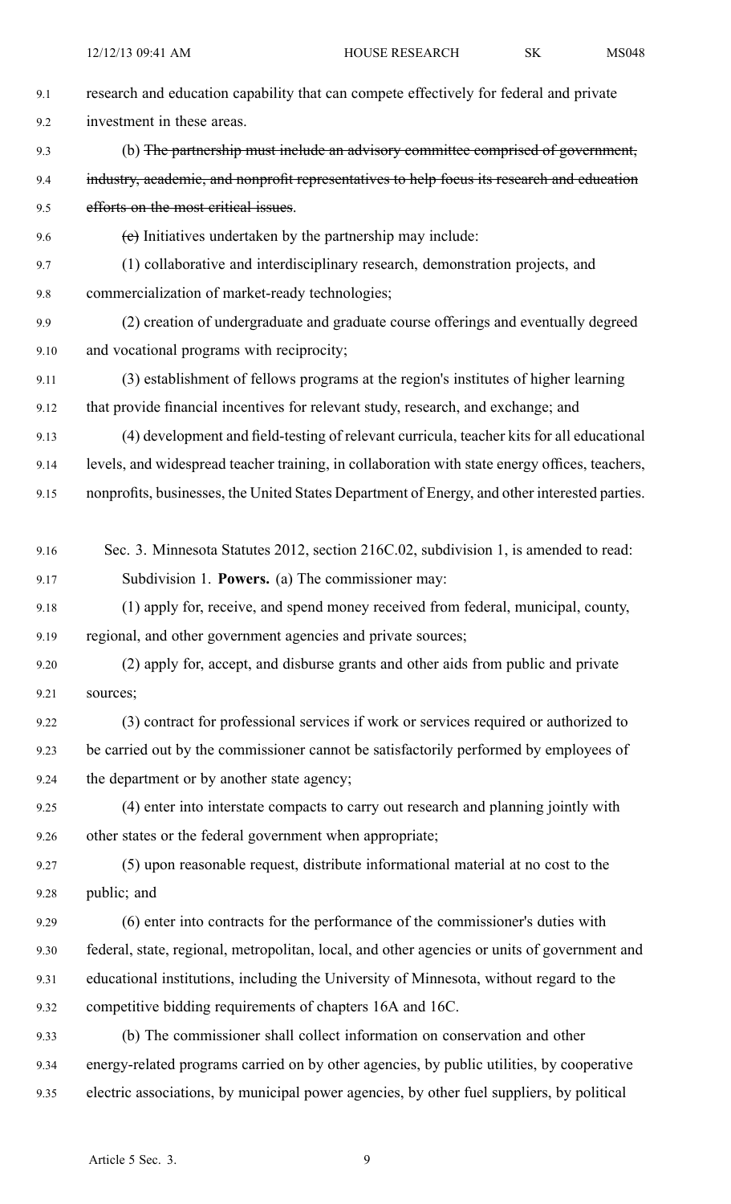| 9.1  | research and education capability that can compete effectively for federal and private         |
|------|------------------------------------------------------------------------------------------------|
| 9.2  | investment in these areas.                                                                     |
| 9.3  | (b) The partnership must include an advisory committee comprised of government,                |
| 9.4  | industry, academic, and nonprofit representatives to help focus its research and education     |
| 9.5  | efforts on the most critical issues.                                                           |
| 9.6  | (e) Initiatives undertaken by the partnership may include:                                     |
| 9.7  | (1) collaborative and interdisciplinary research, demonstration projects, and                  |
| 9.8  | commercialization of market-ready technologies;                                                |
| 9.9  | (2) creation of undergraduate and graduate course offerings and eventually degreed             |
| 9.10 | and vocational programs with reciprocity;                                                      |
| 9.11 | (3) establishment of fellows programs at the region's institutes of higher learning            |
| 9.12 | that provide financial incentives for relevant study, research, and exchange; and              |
| 9.13 | (4) development and field-testing of relevant curricula, teacher kits for all educational      |
| 9.14 | levels, and widespread teacher training, in collaboration with state energy offices, teachers, |
| 9.15 | nonprofits, businesses, the United States Department of Energy, and other interested parties.  |
|      |                                                                                                |
| 9.16 | Sec. 3. Minnesota Statutes 2012, section 216C.02, subdivision 1, is amended to read:           |
| 9.17 | Subdivision 1. Powers. (a) The commissioner may:                                               |
| 9.18 | (1) apply for, receive, and spend money received from federal, municipal, county,              |
| 9.19 | regional, and other government agencies and private sources;                                   |
| 9.20 | (2) apply for, accept, and disburse grants and other aids from public and private              |
| 9.21 | sources;                                                                                       |
| 9.22 | (3) contract for professional services if work or services required or authorized to           |
| 9.23 | be carried out by the commissioner cannot be satisfactorily performed by employees of          |
| 9.24 | the department or by another state agency;                                                     |
| 9.25 | (4) enter into interstate compacts to carry out research and planning jointly with             |
| 9.26 | other states or the federal government when appropriate;                                       |
| 9.27 | (5) upon reasonable request, distribute informational material at no cost to the               |
| 9.28 | public; and                                                                                    |
| 9.29 | (6) enter into contracts for the performance of the commissioner's duties with                 |
| 9.30 | federal, state, regional, metropolitan, local, and other agencies or units of government and   |
| 9.31 | educational institutions, including the University of Minnesota, without regard to the         |
| 9.32 | competitive bidding requirements of chapters 16A and 16C.                                      |
| 9.33 | (b) The commissioner shall collect information on conservation and other                       |
| 9.34 | energy-related programs carried on by other agencies, by public utilities, by cooperative      |
| 9.35 | electric associations, by municipal power agencies, by other fuel suppliers, by political      |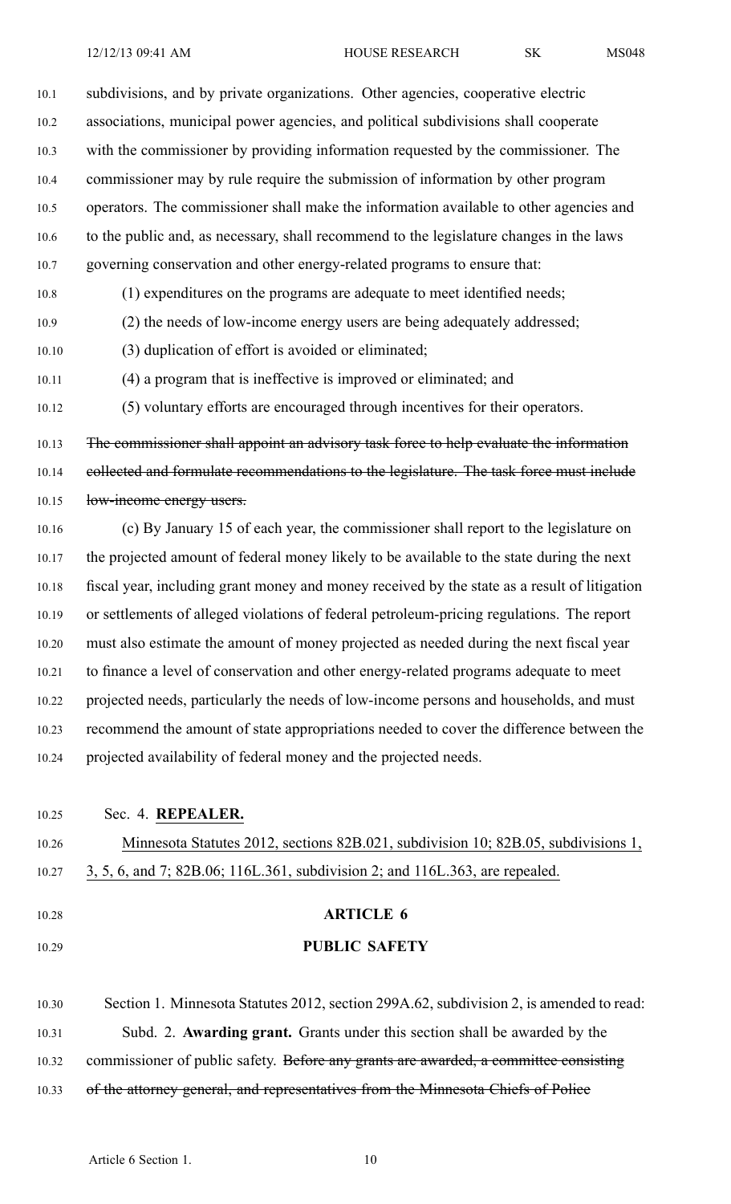10.1 subdivisions, and by private organizations. Other agencies, cooperative electric 10.2 associations, municipal power agencies, and political subdivisions shall cooperate 10.3 with the commissioner by providing information requested by the commissioner. The 10.4 commissioner may by rule require the submission of information by other program 10.5 operators. The commissioner shall make the information available to other agencies and 10.6 to the public and, as necessary, shall recommend to the legislature changes in the laws 10.7 governing conservation and other energy-related programs to ensure that: 10.8 (1) expenditures on the programs are adequate to meet identified needs; 10.9 (2) the needs of low-income energy users are being adequately addressed; 10.10 (3) duplication of effort is avoided or eliminated; 10.11 (4) <sup>a</sup> program that is ineffective is improved or eliminated; and 10.12 (5) voluntary efforts are encouraged through incentives for their operators.

10.13 The commissioner shall appoint an advisory task force to help evaluate the information 10.14 eollected and formulate recommendations to the legislature. The task force must include 10.15 low-income energy users.

10.16 (c) By January 15 of each year, the commissioner shall repor<sup>t</sup> to the legislature on 10.17 the projected amount of federal money likely to be available to the state during the next 10.18 fiscal year, including gran<sup>t</sup> money and money received by the state as <sup>a</sup> result of litigation 10.19 or settlements of alleged violations of federal petroleum-pricing regulations. The repor<sup>t</sup> 10.20 must also estimate the amount of money projected as needed during the next fiscal year 10.21 to finance <sup>a</sup> level of conservation and other energy-related programs adequate to meet 10.22 projected needs, particularly the needs of low-income persons and households, and must 10.23 recommend the amount of state appropriations needed to cover the difference between the 10.24 projected availability of federal money and the projected needs.

10.25 Sec. 4. **REPEALER.** 10.26 Minnesota Statutes 2012, sections 82B.021, subdivision 10; 82B.05, subdivisions 1, 10.27 3, 5, 6, and 7; 82B.06; 116L.361, subdivision 2; and 116L.363, are repealed. 10.28 **ARTICLE 6**

#### 10.29 **PUBLIC SAFETY**

10.30 Section 1. Minnesota Statutes 2012, section 299A.62, subdivision 2, is amended to read: 10.31 Subd. 2. **Awarding grant.** Grants under this section shall be awarded by the 10.32 commissioner of public safety. Before any grants are awarded, a committee consisting 10.33 of the attorney general, and representatives from the Minnesota Chiefs of Police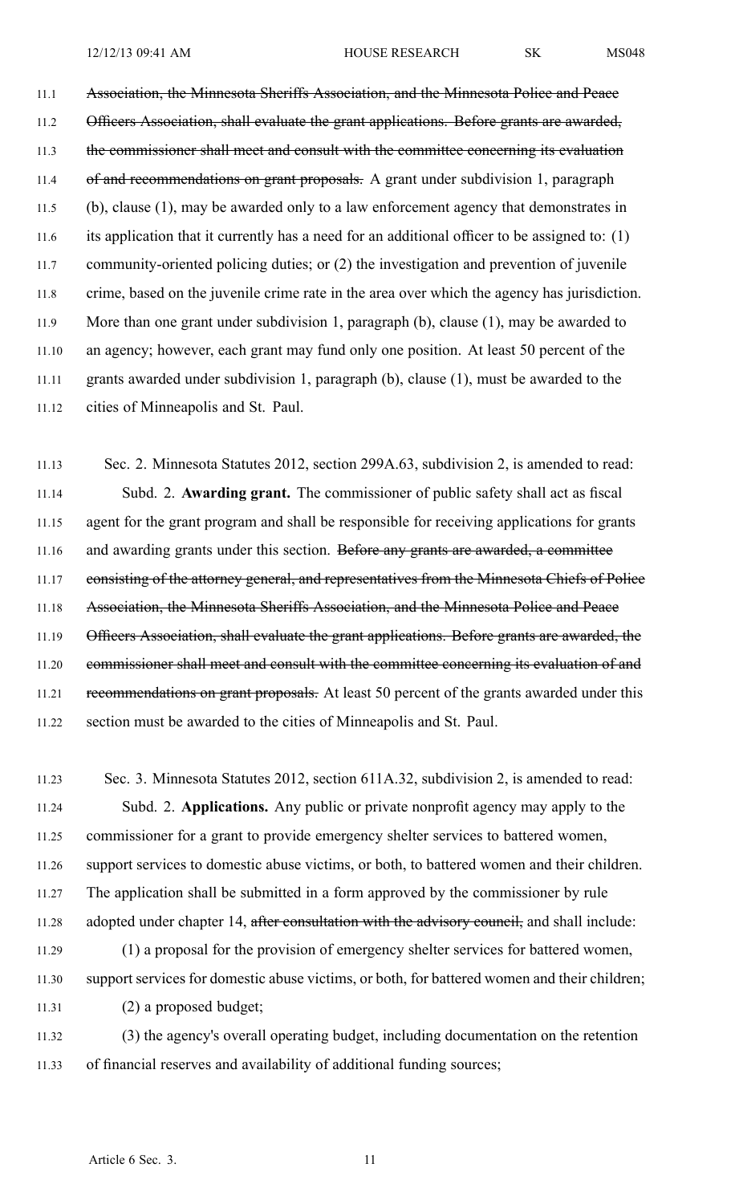11.1 Association, the Minnesota Sheriffs Association, and the Minnesota Police and Peace 11.2 Officers Association, shall evaluate the grant applications. Before grants are awarded, 11.3 the commissioner shall meet and consult with the committee concerning its evaluation 11.4 of and recommendations on grant proposals. A grant under subdivision 1, paragraph 11.5 (b), clause (1), may be awarded only to <sup>a</sup> law enforcement agency that demonstrates in 11.6 its application that it currently has <sup>a</sup> need for an additional officer to be assigned to: (1) 11.7 community-oriented policing duties; or (2) the investigation and prevention of juvenile 11.8 crime, based on the juvenile crime rate in the area over which the agency has jurisdiction. 11.9 More than one gran<sup>t</sup> under subdivision 1, paragraph (b), clause (1), may be awarded to 11.10 an agency; however, each gran<sup>t</sup> may fund only one position. At least 50 percen<sup>t</sup> of the 11.11 grants awarded under subdivision 1, paragraph (b), clause (1), must be awarded to the 11.12 cities of Minneapolis and St. Paul.

11.13 Sec. 2. Minnesota Statutes 2012, section 299A.63, subdivision 2, is amended to read: 11.14 Subd. 2. **Awarding grant.** The commissioner of public safety shall act as fiscal 11.15 agen<sup>t</sup> for the gran<sup>t</sup> program and shall be responsible for receiving applications for grants 11.16 and awarding grants under this section. Before any grants are awarded, a committee 11.17 consisting of the attorney general, and representatives from the Minnesota Chiefs of Police 11.18 Association, the Minnesota Sheriffs Association, and the Minnesota Police and Peace 11.19 Officers Association, shall evaluate the grant applications. Before grants are awarded, the 11.20 commissioner shall meet and consult with the committee concerning its evaluation of and 11.21 recommendations on grant proposals. At least 50 percent of the grants awarded under this 11.22 section must be awarded to the cities of Minneapolis and St. Paul.

11.23 Sec. 3. Minnesota Statutes 2012, section 611A.32, subdivision 2, is amended to read: 11.24 Subd. 2. **Applications.** Any public or private nonprofit agency may apply to the 11.25 commissioner for <sup>a</sup> gran<sup>t</sup> to provide emergency shelter services to battered women, 11.26 suppor<sup>t</sup> services to domestic abuse victims, or both, to battered women and their children. 11.27 The application shall be submitted in <sup>a</sup> form approved by the commissioner by rule 11.28 adopted under chapter 14, after consultation with the advisory council, and shall include: 11.29 (1) <sup>a</sup> proposal for the provision of emergency shelter services for battered women, 11.30 suppor<sup>t</sup> services for domestic abuse victims, or both, for battered women and their children; 11.31 (2) <sup>a</sup> proposed budget; 11.32 (3) the agency's overall operating budget, including documentation on the retention

11.33 of financial reserves and availability of additional funding sources;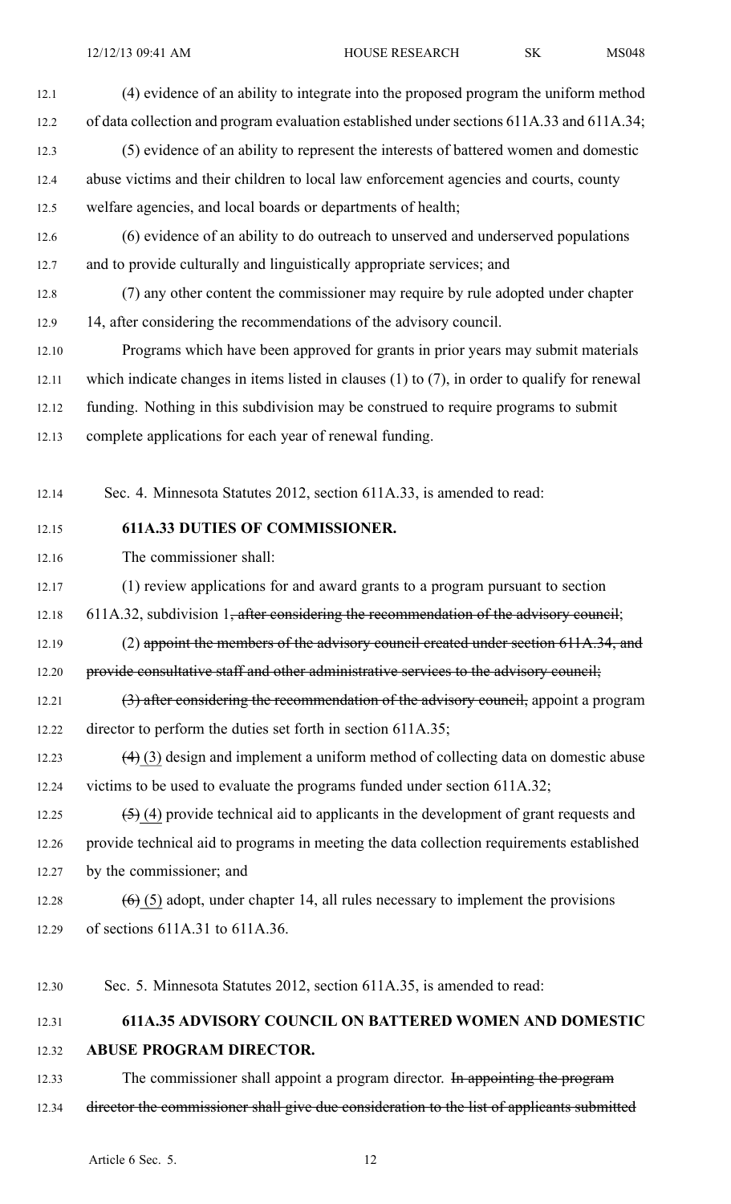12.1 (4) evidence of an ability to integrate into the proposed program the uniform method 12.2 of data collection and program evaluation established under sections 611A.33 and 611A.34; 12.3 (5) evidence of an ability to represen<sup>t</sup> the interests of battered women and domestic 12.4 abuse victims and their children to local law enforcement agencies and courts, county 12.5 welfare agencies, and local boards or departments of health; 12.6 (6) evidence of an ability to do outreach to unserved and underserved populations 12.7 and to provide culturally and linguistically appropriate services; and 12.8 (7) any other content the commissioner may require by rule adopted under chapter 12.9 14, after considering the recommendations of the advisory council. 12.10 Programs which have been approved for grants in prior years may submit materials 12.11 which indicate changes in items listed in clauses (1) to (7), in order to qualify for renewal 12.12 funding. Nothing in this subdivision may be construed to require programs to submit 12.13 complete applications for each year of renewal funding. 12.14 Sec. 4. Minnesota Statutes 2012, section 611A.33, is amended to read: 12.15 **611A.33 DUTIES OF COMMISSIONER.** 12.16 The commissioner shall: 12.17 (1) review applications for and award grants to <sup>a</sup> program pursuan<sup>t</sup> to section 12.18 611A.32, subdivision 1, after considering the recommendation of the advisory council; 12.19 (2) appoint the members of the advisory council created under section 611A.34, and 12.20 provide consultative staff and other administrative services to the advisory council; 12.21 (3) after considering the recommendation of the advisory council, appoint a program 12.22 director to perform the duties set forth in section 611A.35; 12.23  $(4)$  (3) design and implement a uniform method of collecting data on domestic abuse 12.24 victims to be used to evaluate the programs funded under section 611A.32; 12.25  $(5)$  (4) provide technical aid to applicants in the development of grant requests and 12.26 provide technical aid to programs in meeting the data collection requirements established 12.27 by the commissioner; and 12.28  $(6)$  (5) adopt, under chapter 14, all rules necessary to implement the provisions 12.29 of sections 611A.31 to 611A.36. 12.30 Sec. 5. Minnesota Statutes 2012, section 611A.35, is amended to read:

# 12.31 **611A.35 ADVISORY COUNCIL ON BATTERED WOMEN AND DOMESTIC** 12.32 **ABUSE PROGRAM DIRECTOR.**

12.33 The commissioner shall appoint a program director. In appointing the program 12.34 director the commissioner shall give due consideration to the list of applicants submitted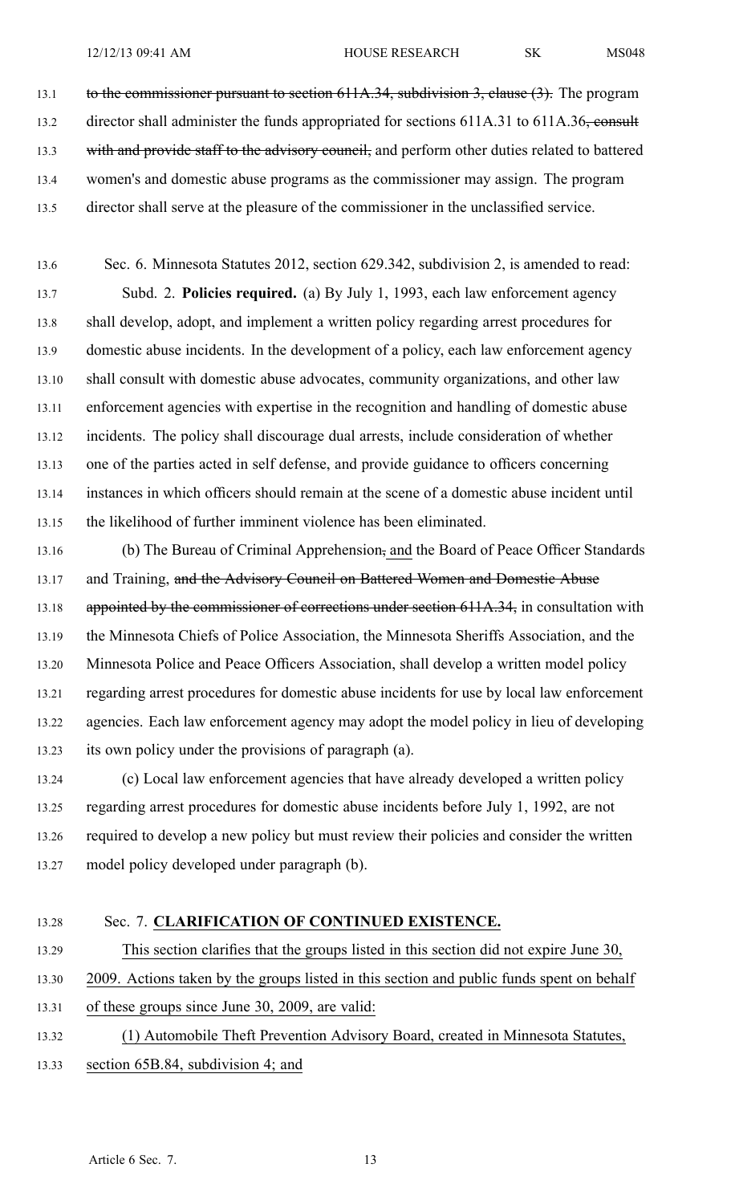13.1 to the commissioner pursuant to section 611A.34, subdivision 3, clause (3). The program 13.2 director shall administer the funds appropriated for sections 611A.31 to 611A.36, consult 13.3 with and provide staff to the advisory council, and perform other duties related to battered 13.4 women's and domestic abuse programs as the commissioner may assign. The program 13.5 director shall serve at the pleasure of the commissioner in the unclassified service.

13.6 Sec. 6. Minnesota Statutes 2012, section 629.342, subdivision 2, is amended to read: 13.7 Subd. 2. **Policies required.** (a) By July 1, 1993, each law enforcement agency 13.8 shall develop, adopt, and implement <sup>a</sup> written policy regarding arrest procedures for 13.9 domestic abuse incidents. In the development of <sup>a</sup> policy, each law enforcement agency 13.10 shall consult with domestic abuse advocates, community organizations, and other law 13.11 enforcement agencies with expertise in the recognition and handling of domestic abuse 13.12 incidents. The policy shall discourage dual arrests, include consideration of whether 13.13 one of the parties acted in self defense, and provide guidance to officers concerning 13.14 instances in which officers should remain at the scene of <sup>a</sup> domestic abuse incident until 13.15 the likelihood of further imminent violence has been eliminated.

13.16 (b) The Bureau of Criminal Apprehension, and the Board of Peace Officer Standards 13.17 and Training, and the Advisory Council on Battered Women and Domestic Abuse 13.18 appointed by the commissioner of corrections under section 611A.34, in consultation with 13.19 the Minnesota Chiefs of Police Association, the Minnesota Sheriffs Association, and the 13.20 Minnesota Police and Peace Officers Association, shall develop <sup>a</sup> written model policy 13.21 regarding arrest procedures for domestic abuse incidents for use by local law enforcement 13.22 agencies. Each law enforcement agency may adopt the model policy in lieu of developing 13.23 its own policy under the provisions of paragraph (a).

13.24 (c) Local law enforcement agencies that have already developed <sup>a</sup> written policy 13.25 regarding arrest procedures for domestic abuse incidents before July 1, 1992, are not 13.26 required to develop <sup>a</sup> new policy but must review their policies and consider the written 13.27 model policy developed under paragraph (b).

| 13.28 | Sec. 7. CLARIFICATION OF CONTINUED EXISTENCE.                                             |
|-------|-------------------------------------------------------------------------------------------|
| 13.29 | This section clarifies that the groups listed in this section did not expire June 30,     |
| 13.30 | 2009. Actions taken by the groups listed in this section and public funds spent on behalf |
| 13.31 | of these groups since June 30, 2009, are valid:                                           |
| 13.32 | (1) Automobile Theft Prevention Advisory Board, created in Minnesota Statutes,            |
| 13.33 | section 65B.84, subdivision 4; and                                                        |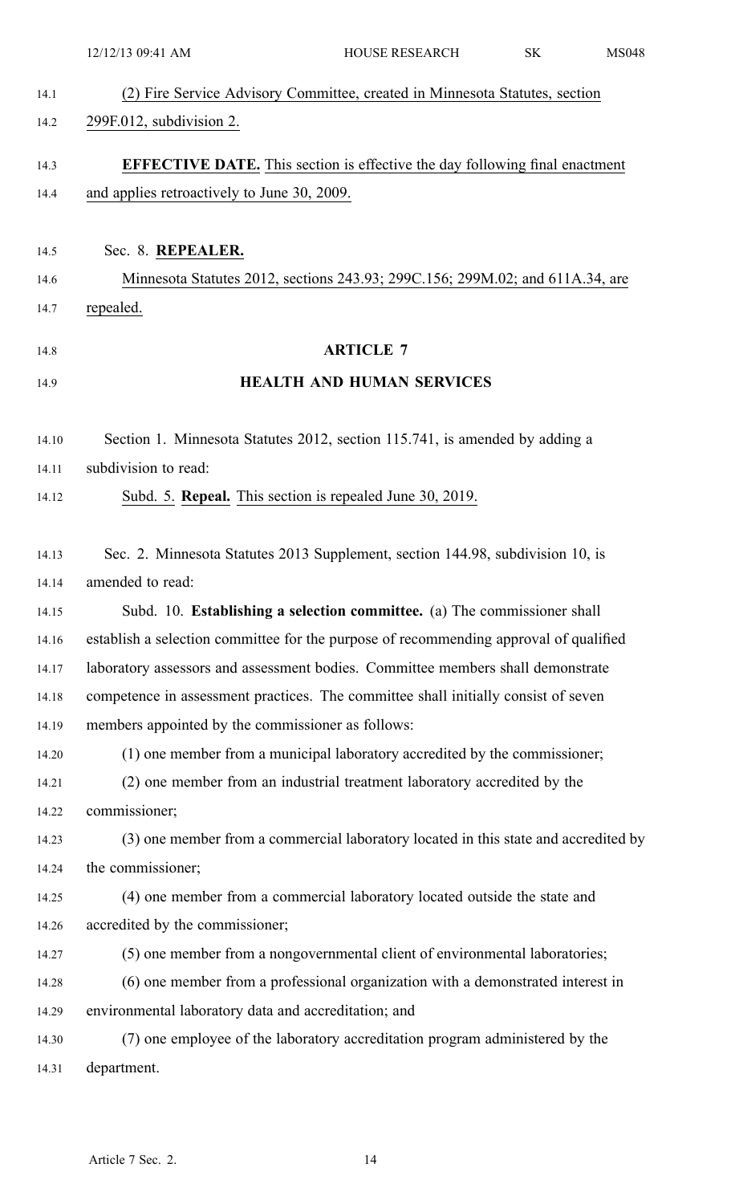|       | 12/12/13 09:41 AM                                    | <b>HOUSE RESEARCH</b>                                                                 | SK | <b>MS048</b> |
|-------|------------------------------------------------------|---------------------------------------------------------------------------------------|----|--------------|
| 14.1  |                                                      | (2) Fire Service Advisory Committee, created in Minnesota Statutes, section           |    |              |
| 14.2  | 299F.012, subdivision 2.                             |                                                                                       |    |              |
| 14.3  |                                                      | <b>EFFECTIVE DATE.</b> This section is effective the day following final enactment    |    |              |
| 14.4  | and applies retroactively to June 30, 2009.          |                                                                                       |    |              |
|       |                                                      |                                                                                       |    |              |
| 14.5  | Sec. 8. REPEALER.                                    |                                                                                       |    |              |
| 14.6  |                                                      | Minnesota Statutes 2012, sections 243.93; 299C.156; 299M.02; and 611A.34, are         |    |              |
| 14.7  | repealed.                                            |                                                                                       |    |              |
| 14.8  |                                                      | <b>ARTICLE 7</b>                                                                      |    |              |
| 14.9  |                                                      | <b>HEALTH AND HUMAN SERVICES</b>                                                      |    |              |
| 14.10 |                                                      | Section 1. Minnesota Statutes 2012, section 115.741, is amended by adding a           |    |              |
| 14.11 | subdivision to read:                                 |                                                                                       |    |              |
| 14.12 |                                                      | Subd. 5. Repeal. This section is repealed June 30, 2019.                              |    |              |
| 14.13 |                                                      | Sec. 2. Minnesota Statutes 2013 Supplement, section 144.98, subdivision 10, is        |    |              |
| 14.14 | amended to read:                                     |                                                                                       |    |              |
| 14.15 |                                                      | Subd. 10. Establishing a selection committee. (a) The commissioner shall              |    |              |
| 14.16 |                                                      | establish a selection committee for the purpose of recommending approval of qualified |    |              |
| 14.17 |                                                      | laboratory assessors and assessment bodies. Committee members shall demonstrate       |    |              |
| 14.18 |                                                      | competence in assessment practices. The committee shall initially consist of seven    |    |              |
| 14.19 | members appointed by the commissioner as follows:    |                                                                                       |    |              |
| 14.20 |                                                      | (1) one member from a municipal laboratory accredited by the commissioner;            |    |              |
| 14.21 |                                                      | (2) one member from an industrial treatment laboratory accredited by the              |    |              |
| 14.22 | commissioner;                                        |                                                                                       |    |              |
| 14.23 |                                                      | (3) one member from a commercial laboratory located in this state and accredited by   |    |              |
| 14.24 | the commissioner;                                    |                                                                                       |    |              |
| 14.25 |                                                      | (4) one member from a commercial laboratory located outside the state and             |    |              |
| 14.26 | accredited by the commissioner;                      |                                                                                       |    |              |
| 14.27 |                                                      | (5) one member from a nongovernmental client of environmental laboratories;           |    |              |
| 14.28 |                                                      | (6) one member from a professional organization with a demonstrated interest in       |    |              |
| 14.29 | environmental laboratory data and accreditation; and |                                                                                       |    |              |
| 14.30 |                                                      | (7) one employee of the laboratory accreditation program administered by the          |    |              |
| 14.31 | department.                                          |                                                                                       |    |              |
|       |                                                      |                                                                                       |    |              |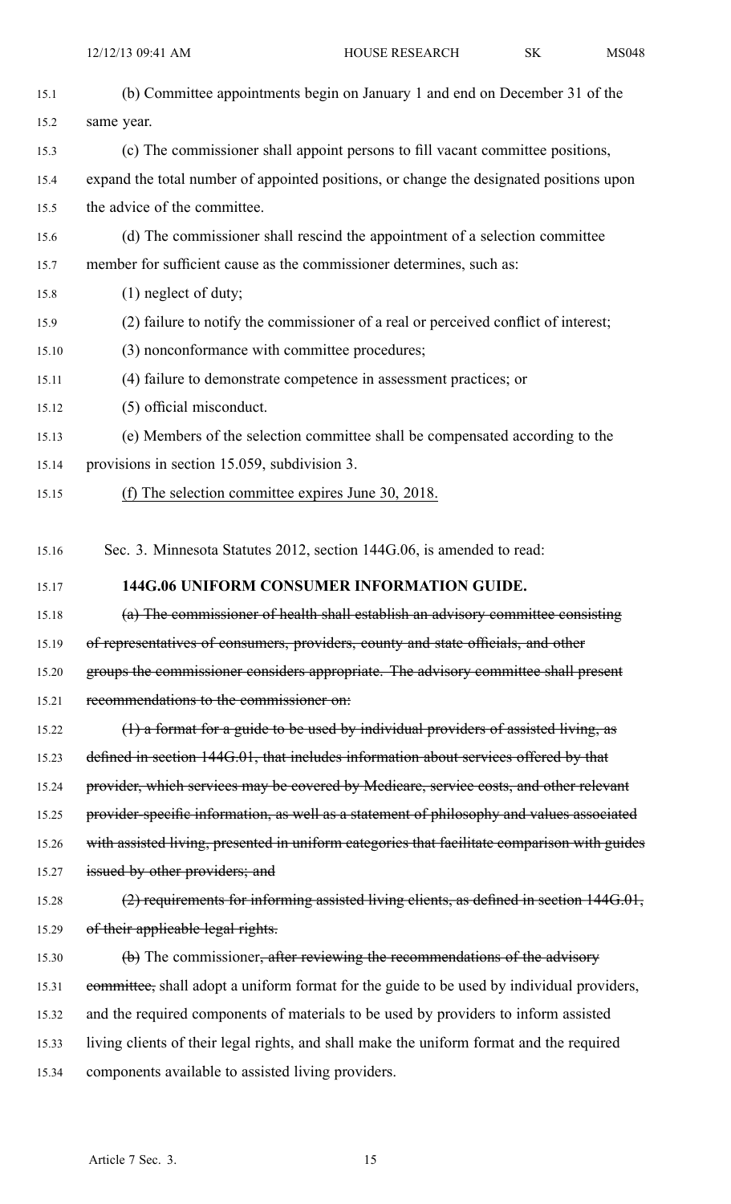| 15.1  | (b) Committee appointments begin on January 1 and end on December 31 of the                  |
|-------|----------------------------------------------------------------------------------------------|
| 15.2  | same year.                                                                                   |
| 15.3  | (c) The commissioner shall appoint persons to fill vacant committee positions,               |
| 15.4  | expand the total number of appointed positions, or change the designated positions upon      |
| 15.5  | the advice of the committee.                                                                 |
| 15.6  | (d) The commissioner shall rescind the appointment of a selection committee                  |
| 15.7  | member for sufficient cause as the commissioner determines, such as:                         |
| 15.8  | $(1)$ neglect of duty;                                                                       |
| 15.9  | (2) failure to notify the commissioner of a real or perceived conflict of interest;          |
| 15.10 | (3) nonconformance with committee procedures;                                                |
| 15.11 | (4) failure to demonstrate competence in assessment practices; or                            |
| 15.12 | (5) official misconduct.                                                                     |
| 15.13 | (e) Members of the selection committee shall be compensated according to the                 |
| 15.14 | provisions in section 15.059, subdivision 3.                                                 |
| 15.15 | (f) The selection committee expires June 30, 2018.                                           |
|       |                                                                                              |
| 15.16 | Sec. 3. Minnesota Statutes 2012, section 144G.06, is amended to read:                        |
| 15.17 | 144G.06 UNIFORM CONSUMER INFORMATION GUIDE.                                                  |
| 15.18 | (a) The commissioner of health shall establish an advisory committee consisting              |
| 15.19 | of representatives of consumers, providers, county and state officials, and other            |
| 15.20 | groups the commissioner considers appropriate. The advisory committee shall present          |
| 15.21 | recommendations to the commissioner on:                                                      |
| 15.22 | $(1)$ a format for a guide to be used by individual providers of assisted living, as         |
| 15.23 | defined in section 144G.01, that includes information about services offered by that         |
| 15.24 | provider, which services may be covered by Medicare, service costs, and other relevant       |
| 15.25 | provider-specific information, as well as a statement of philosophy and values associated    |
| 15.26 | with assisted living, presented in uniform categories that facilitate comparison with guides |
| 15.27 | issued by other providers; and                                                               |
| 15.28 | (2) requirements for informing assisted living clients, as defined in section 144G.01,       |
| 15.29 | of their applicable legal rights.                                                            |
| 15.30 | (b) The commissioner, after reviewing the recommendations of the advisory                    |
| 15.31 | committee, shall adopt a uniform format for the guide to be used by individual providers,    |
| 15.32 | and the required components of materials to be used by providers to inform assisted          |
| 15.33 | living clients of their legal rights, and shall make the uniform format and the required     |
| 15.34 | components available to assisted living providers.                                           |
|       |                                                                                              |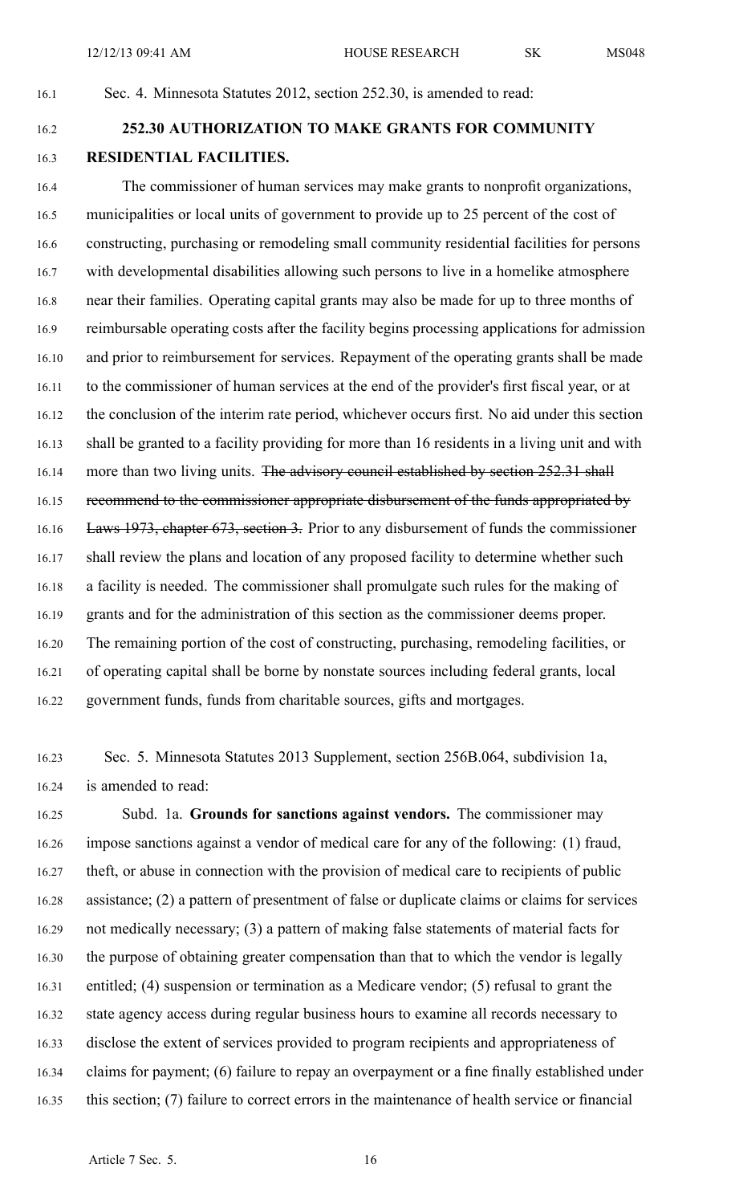#### 16.1 Sec. 4. Minnesota Statutes 2012, section 252.30, is amended to read:

# 16.2 **252.30 AUTHORIZATION TO MAKE GRANTS FOR COMMUNITY** 16.3 **RESIDENTIAL FACILITIES.**

16.4 The commissioner of human services may make grants to nonprofit organizations, 16.5 municipalities or local units of governmen<sup>t</sup> to provide up to 25 percen<sup>t</sup> of the cost of 16.6 constructing, purchasing or remodeling small community residential facilities for persons 16.7 with developmental disabilities allowing such persons to live in <sup>a</sup> homelike atmosphere 16.8 near their families. Operating capital grants may also be made for up to three months of 16.9 reimbursable operating costs after the facility begins processing applications for admission 16.10 and prior to reimbursement for services. Repayment of the operating grants shall be made 16.11 to the commissioner of human services at the end of the provider's first fiscal year, or at 16.12 the conclusion of the interim rate period, whichever occurs first. No aid under this section 16.13 shall be granted to <sup>a</sup> facility providing for more than 16 residents in <sup>a</sup> living unit and with 16.14 more than two living units. The advisory council established by section 252.31 shall 16.15 recommend to the commissioner appropriate disbursement of the funds appropriated by 16.16 Laws 1973, chapter 673, section 3. Prior to any disbursement of funds the commissioner 16.17 shall review the plans and location of any proposed facility to determine whether such 16.18 <sup>a</sup> facility is needed. The commissioner shall promulgate such rules for the making of 16.19 grants and for the administration of this section as the commissioner deems proper. 16.20 The remaining portion of the cost of constructing, purchasing, remodeling facilities, or 16.21 of operating capital shall be borne by nonstate sources including federal grants, local 16.22 governmen<sup>t</sup> funds, funds from charitable sources, gifts and mortgages.

16.23 Sec. 5. Minnesota Statutes 2013 Supplement, section 256B.064, subdivision 1a, 16.24 is amended to read:

16.25 Subd. 1a. **Grounds for sanctions against vendors.** The commissioner may 16.26 impose sanctions against <sup>a</sup> vendor of medical care for any of the following: (1) fraud, 16.27 theft, or abuse in connection with the provision of medical care to recipients of public 16.28 assistance; (2) <sup>a</sup> pattern of presentment of false or duplicate claims or claims for services 16.29 not medically necessary; (3) <sup>a</sup> pattern of making false statements of material facts for 16.30 the purpose of obtaining greater compensation than that to which the vendor is legally 16.31 entitled; (4) suspension or termination as <sup>a</sup> Medicare vendor; (5) refusal to gran<sup>t</sup> the 16.32 state agency access during regular business hours to examine all records necessary to 16.33 disclose the extent of services provided to program recipients and appropriateness of 16.34 claims for payment; (6) failure to repay an overpaymen<sup>t</sup> or <sup>a</sup> fine finally established under 16.35 this section; (7) failure to correct errors in the maintenance of health service or financial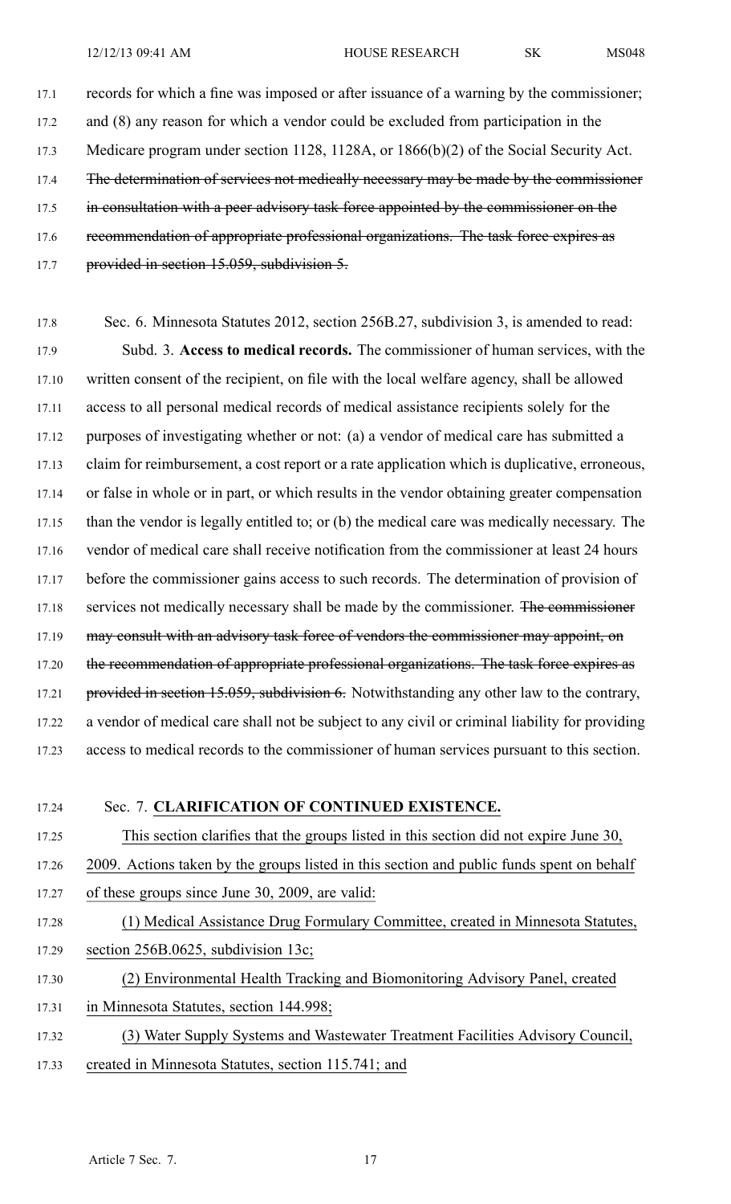17.1 records for which <sup>a</sup> fine was imposed or after issuance of <sup>a</sup> warning by the commissioner; 17.2 and (8) any reason for which <sup>a</sup> vendor could be excluded from participation in the 17.3 Medicare program under section 1128, 1128A, or 1866(b)(2) of the Social Security Act. 17.4 The determination of services not medically necessary may be made by the commissioner 17.5 in consultation with a peer advisory task force appointed by the commissioner on the 17.6 recommendation of appropriate professional organizations. The task force expires as 17.7 provided in section 15.059, subdivision 5.

17.8 Sec. 6. Minnesota Statutes 2012, section 256B.27, subdivision 3, is amended to read: 17.9 Subd. 3. **Access to medical records.** The commissioner of human services, with the 17.10 written consent of the recipient, on file with the local welfare agency, shall be allowed 17.11 access to all personal medical records of medical assistance recipients solely for the 17.12 purposes of investigating whether or not: (a) <sup>a</sup> vendor of medical care has submitted <sup>a</sup> 17.13 claim for reimbursement, <sup>a</sup> cost repor<sup>t</sup> or <sup>a</sup> rate application which is duplicative, erroneous, 17.14 or false in whole or in part, or which results in the vendor obtaining greater compensation 17.15 than the vendor is legally entitled to; or (b) the medical care was medically necessary. The 17.16 vendor of medical care shall receive notification from the commissioner at least 24 hours 17.17 before the commissioner gains access to such records. The determination of provision of 17.18 services not medically necessary shall be made by the commissioner. The commissioner 17.19 may consult with an advisory task force of vendors the commissioner may appoint, on 17.20 the recommendation of appropriate professional organizations. The task force expires as 17.21 provided in section 15.059, subdivision 6. Notwithstanding any other law to the contrary, 17.22 <sup>a</sup> vendor of medical care shall not be subject to any civil or criminal liability for providing 17.23 access to medical records to the commissioner of human services pursuan<sup>t</sup> to this section.

#### 17.24 Sec. 7. **CLARIFICATION OF CONTINUED EXISTENCE.**

17.25 This section clarifies that the groups listed in this section did not expire June 30, 17.26 2009. Actions taken by the groups listed in this section and public funds spen<sup>t</sup> on behalf 17.27 of these groups since June 30, 2009, are valid:

- 17.28 (1) Medical Assistance Drug Formulary Committee, created in Minnesota Statutes, 17.29 section 256B.0625, subdivision 13c;
- 17.30 (2) Environmental Health Tracking and Biomonitoring Advisory Panel, created
- 17.31 in Minnesota Statutes, section 144.998;
- 17.32 (3) Water Supply Systems and Wastewater Treatment Facilities Advisory Council,
- 17.33 created in Minnesota Statutes, section 115.741; and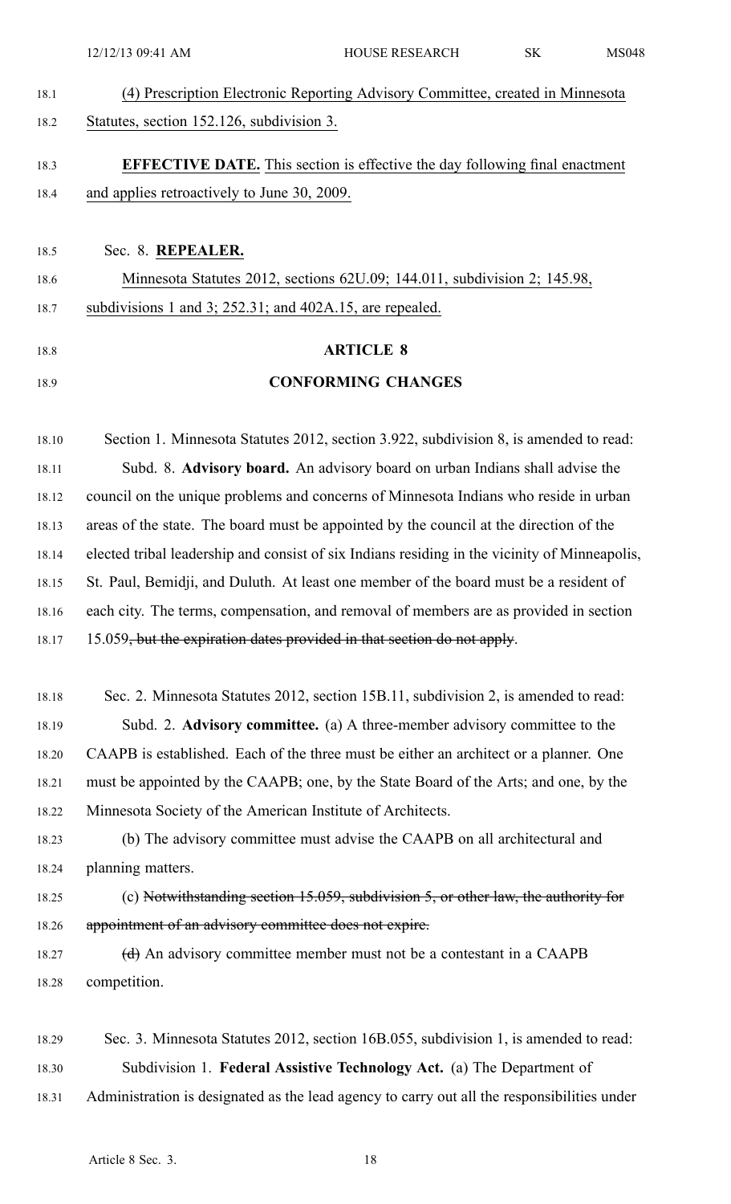12/12/13 09:41 AM HOUSE RESEARCH SK MS048

18.1 (4) Prescription Electronic Reporting Advisory Committee, created in Minnesota 18.2 Statutes, section 152.126, subdivision 3.

# 18.3 **EFFECTIVE DATE.** This section is effective the day following final enactment 18.4 and applies retroactively to June 30, 2009.

- 18.5 Sec. 8. **REPEALER.** 18.6 Minnesota Statutes 2012, sections 62U.09; 144.011, subdivision 2; 145.98, 18.7 subdivisions 1 and 3; 252.31; and 402A.15, are repealed.
- 
- 

# 18.8 **ARTICLE 8** 18.9 **CONFORMING CHANGES**

18.10 Section 1. Minnesota Statutes 2012, section 3.922, subdivision 8, is amended to read: 18.11 Subd. 8. **Advisory board.** An advisory board on urban Indians shall advise the 18.12 council on the unique problems and concerns of Minnesota Indians who reside in urban 18.13 areas of the state. The board must be appointed by the council at the direction of the 18.14 elected tribal leadership and consist of six Indians residing in the vicinity of Minneapolis, 18.15 St. Paul, Bemidji, and Duluth. At least one member of the board must be <sup>a</sup> resident of 18.16 each city. The terms, compensation, and removal of members are as provided in section 18.17 15.059, but the expiration dates provided in that section do not apply.

- 18.18 Sec. 2. Minnesota Statutes 2012, section 15B.11, subdivision 2, is amended to read: 18.19 Subd. 2. **Advisory committee.** (a) A three-member advisory committee to the 18.20 CAAPB is established. Each of the three must be either an architect or <sup>a</sup> planner. One 18.21 must be appointed by the CAAPB; one, by the State Board of the Arts; and one, by the 18.22 Minnesota Society of the American Institute of Architects.
- 18.23 (b) The advisory committee must advise the CAAPB on all architectural and 18.24 planning matters.
- 18.25 (c) Notwithstanding section 15.059, subdivision 5, or other law, the authority for 18.26 appointment of an advisory committee does not expire.
- 18.27 (d) An advisory committee member must not be a contestant in a CAAPB 18.28 competition.
- 18.29 Sec. 3. Minnesota Statutes 2012, section 16B.055, subdivision 1, is amended to read: 18.30 Subdivision 1. **Federal Assistive Technology Act.** (a) The Department of 18.31 Administration is designated as the lead agency to carry out all the responsibilities under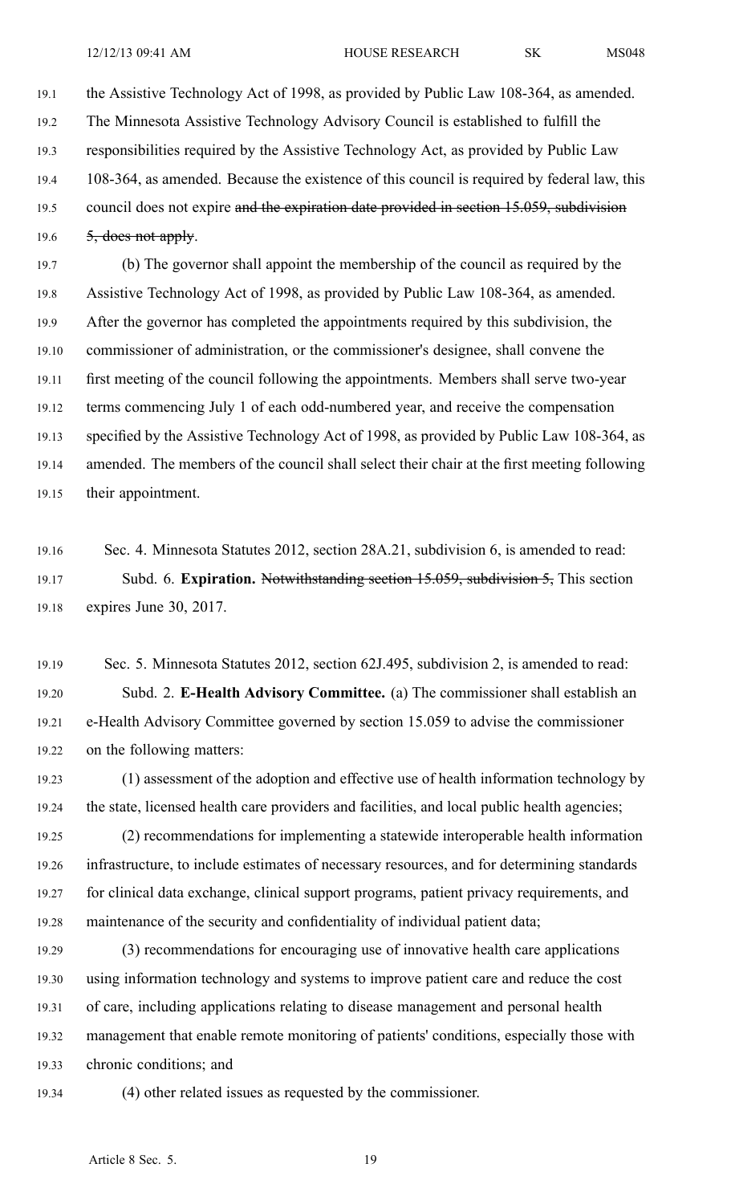19.1 the Assistive Technology Act of 1998, as provided by Public Law 108-364, as amended. 19.2 The Minnesota Assistive Technology Advisory Council is established to fulfill the 19.3 responsibilities required by the Assistive Technology Act, as provided by Public Law 19.4 108-364, as amended. Because the existence of this council is required by federal law, this 19.5 council does not expire and the expiration date provided in section 15.059, subdivision 19.6  $\qquad 5,$  does not apply.

19.7 (b) The governor shall appoint the membership of the council as required by the 19.8 Assistive Technology Act of 1998, as provided by Public Law 108-364, as amended. 19.9 After the governor has completed the appointments required by this subdivision, the 19.10 commissioner of administration, or the commissioner's designee, shall convene the 19.11 first meeting of the council following the appointments. Members shall serve two-year 19.12 terms commencing July 1 of each odd-numbered year, and receive the compensation 19.13 specified by the Assistive Technology Act of 1998, as provided by Public Law 108-364, as 19.14 amended. The members of the council shall select their chair at the first meeting following 19.15 their appointment.

19.16 Sec. 4. Minnesota Statutes 2012, section 28A.21, subdivision 6, is amended to read: 19.17 Subd. 6. **Expiration.** Notwithstanding section 15.059, subdivision 5, This section 19.18 expires June 30, 2017.

19.19 Sec. 5. Minnesota Statutes 2012, section 62J.495, subdivision 2, is amended to read: 19.20 Subd. 2. **E-Health Advisory Committee.** (a) The commissioner shall establish an 19.21 e-Health Advisory Committee governed by section 15.059 to advise the commissioner 19.22 on the following matters:

19.23 (1) assessment of the adoption and effective use of health information technology by 19.24 the state, licensed health care providers and facilities, and local public health agencies;

19.25 (2) recommendations for implementing <sup>a</sup> statewide interoperable health information 19.26 infrastructure, to include estimates of necessary resources, and for determining standards 19.27 for clinical data exchange, clinical suppor<sup>t</sup> programs, patient privacy requirements, and 19.28 maintenance of the security and confidentiality of individual patient data;

- 19.29 (3) recommendations for encouraging use of innovative health care applications 19.30 using information technology and systems to improve patient care and reduce the cost 19.31 of care, including applications relating to disease managemen<sup>t</sup> and personal health 19.32 managemen<sup>t</sup> that enable remote monitoring of patients' conditions, especially those with 19.33 chronic conditions; and
- 

19.34 (4) other related issues as requested by the commissioner.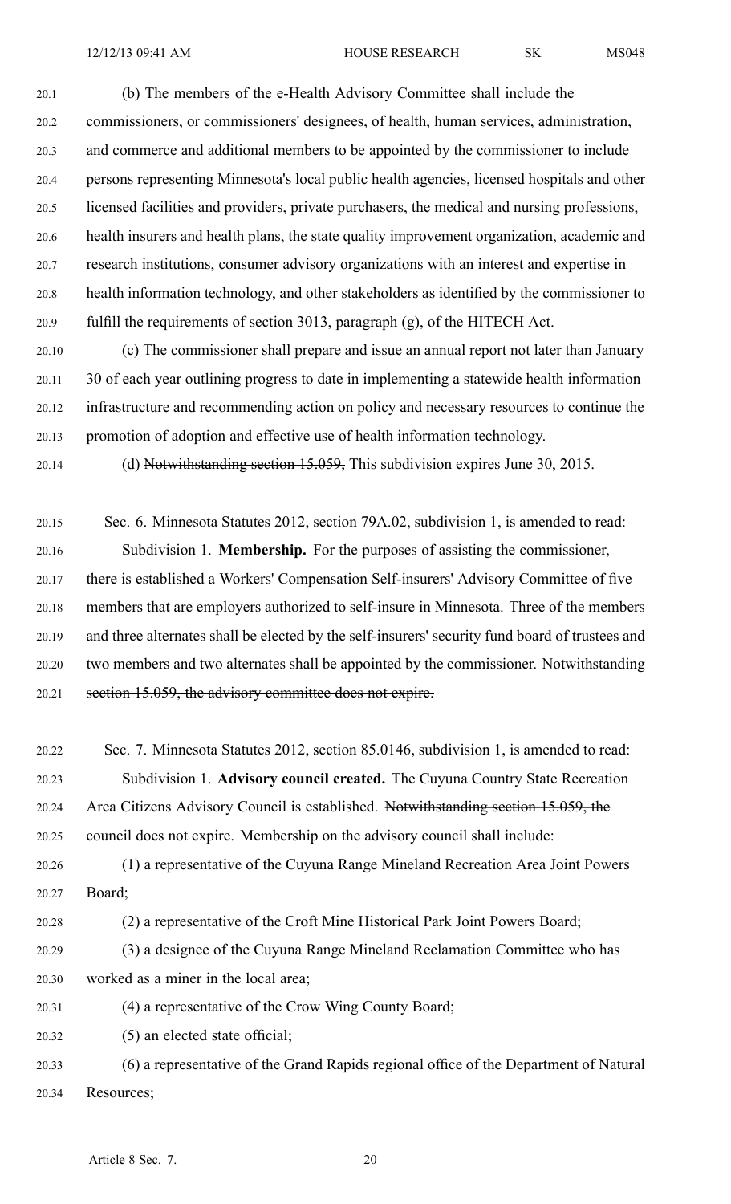20.1 (b) The members of the e-Health Advisory Committee shall include the 20.2 commissioners, or commissioners' designees, of health, human services, administration, 20.3 and commerce and additional members to be appointed by the commissioner to include 20.4 persons representing Minnesota's local public health agencies, licensed hospitals and other 20.5 licensed facilities and providers, private purchasers, the medical and nursing professions, 20.6 health insurers and health plans, the state quality improvement organization, academic and 20.7 research institutions, consumer advisory organizations with an interest and expertise in 20.8 health information technology, and other stakeholders as identified by the commissioner to 20.9 fulfill the requirements of section 3013, paragraph (g), of the HITECH Act.

20.10 (c) The commissioner shall prepare and issue an annual repor<sup>t</sup> not later than January 20.11 30 of each year outlining progress to date in implementing <sup>a</sup> statewide health information 20.12 infrastructure and recommending action on policy and necessary resources to continue the 20.13 promotion of adoption and effective use of health information technology.

20.14 (d) Notwithstanding section 15.059, This subdivision expires June 30, 2015.

20.15 Sec. 6. Minnesota Statutes 2012, section 79A.02, subdivision 1, is amended to read: 20.16 Subdivision 1. **Membership.** For the purposes of assisting the commissioner, 20.17 there is established <sup>a</sup> Workers' Compensation Self-insurers' Advisory Committee of five 20.18 members that are employers authorized to self-insure in Minnesota. Three of the members 20.19 and three alternates shall be elected by the self-insurers' security fund board of trustees and 20.20 two members and two alternates shall be appointed by the commissioner. Notwithstanding 20.21 section 15.059, the advisory committee does not expire.

20.22 Sec. 7. Minnesota Statutes 2012, section 85.0146, subdivision 1, is amended to read: 20.23 Subdivision 1. **Advisory council created.** The Cuyuna Country State Recreation 20.24 Area Citizens Advisory Council is established. Notwithstanding section 15.059, the 20.25 council does not expire. Membership on the advisory council shall include:

20.26 (1) <sup>a</sup> representative of the Cuyuna Range Mineland Recreation Area Joint Powers 20.27 Board;

20.28 (2) <sup>a</sup> representative of the Croft Mine Historical Park Joint Powers Board;

- 20.29 (3) <sup>a</sup> designee of the Cuyuna Range Mineland Reclamation Committee who has
- 20.30 worked as <sup>a</sup> miner in the local area;

20.31 (4) <sup>a</sup> representative of the Crow Wing County Board;

20.32 (5) an elected state official;

20.33 (6) <sup>a</sup> representative of the Grand Rapids regional office of the Department of Natural 20.34 Resources;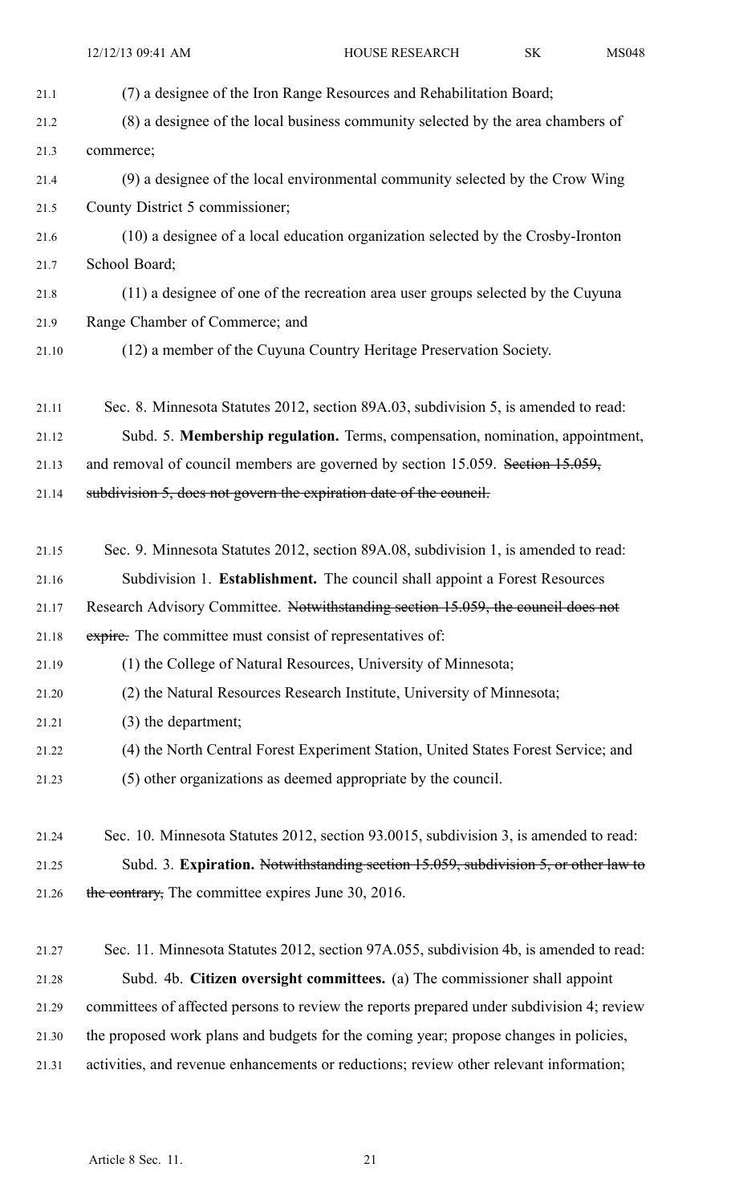| 21.1  | (7) a designee of the Iron Range Resources and Rehabilitation Board;                      |
|-------|-------------------------------------------------------------------------------------------|
| 21.2  | (8) a designee of the local business community selected by the area chambers of           |
| 21.3  | commerce;                                                                                 |
| 21.4  | (9) a designee of the local environmental community selected by the Crow Wing             |
| 21.5  | County District 5 commissioner;                                                           |
| 21.6  | (10) a designee of a local education organization selected by the Crosby-Ironton          |
| 21.7  | School Board;                                                                             |
| 21.8  | (11) a designee of one of the recreation area user groups selected by the Cuyuna          |
| 21.9  | Range Chamber of Commerce; and                                                            |
| 21.10 | (12) a member of the Cuyuna Country Heritage Preservation Society.                        |
| 21.11 | Sec. 8. Minnesota Statutes 2012, section 89A.03, subdivision 5, is amended to read:       |
| 21.12 | Subd. 5. Membership regulation. Terms, compensation, nomination, appointment,             |
| 21.13 | and removal of council members are governed by section 15.059. Section 15.059,            |
| 21.14 | subdivision 5, does not govern the expiration date of the council.                        |
| 21.15 | Sec. 9. Minnesota Statutes 2012, section 89A.08, subdivision 1, is amended to read:       |
| 21.16 | Subdivision 1. Establishment. The council shall appoint a Forest Resources                |
| 21.17 | Research Advisory Committee. Notwithstanding section 15.059, the council does not         |
| 21.18 | expire. The committee must consist of representatives of:                                 |
| 21.19 | (1) the College of Natural Resources, University of Minnesota;                            |
| 21.20 | (2) the Natural Resources Research Institute, University of Minnesota;                    |
| 21.21 | (3) the department;                                                                       |
| 21.22 | (4) the North Central Forest Experiment Station, United States Forest Service; and        |
| 21.23 | (5) other organizations as deemed appropriate by the council.                             |
| 21.24 | Sec. 10. Minnesota Statutes 2012, section 93.0015, subdivision 3, is amended to read:     |
| 21.25 | Subd. 3. Expiration. Notwithstanding section 15.059, subdivision 5, or other law to       |
| 21.26 | the contrary, The committee expires June 30, 2016.                                        |
| 21.27 | Sec. 11. Minnesota Statutes 2012, section 97A.055, subdivision 4b, is amended to read:    |
| 21.28 | Subd. 4b. Citizen oversight committees. (a) The commissioner shall appoint                |
| 21.29 | committees of affected persons to review the reports prepared under subdivision 4; review |
| 21.30 | the proposed work plans and budgets for the coming year; propose changes in policies,     |
|       |                                                                                           |

21.31 activities, and revenue enhancements or reductions; review other relevant information;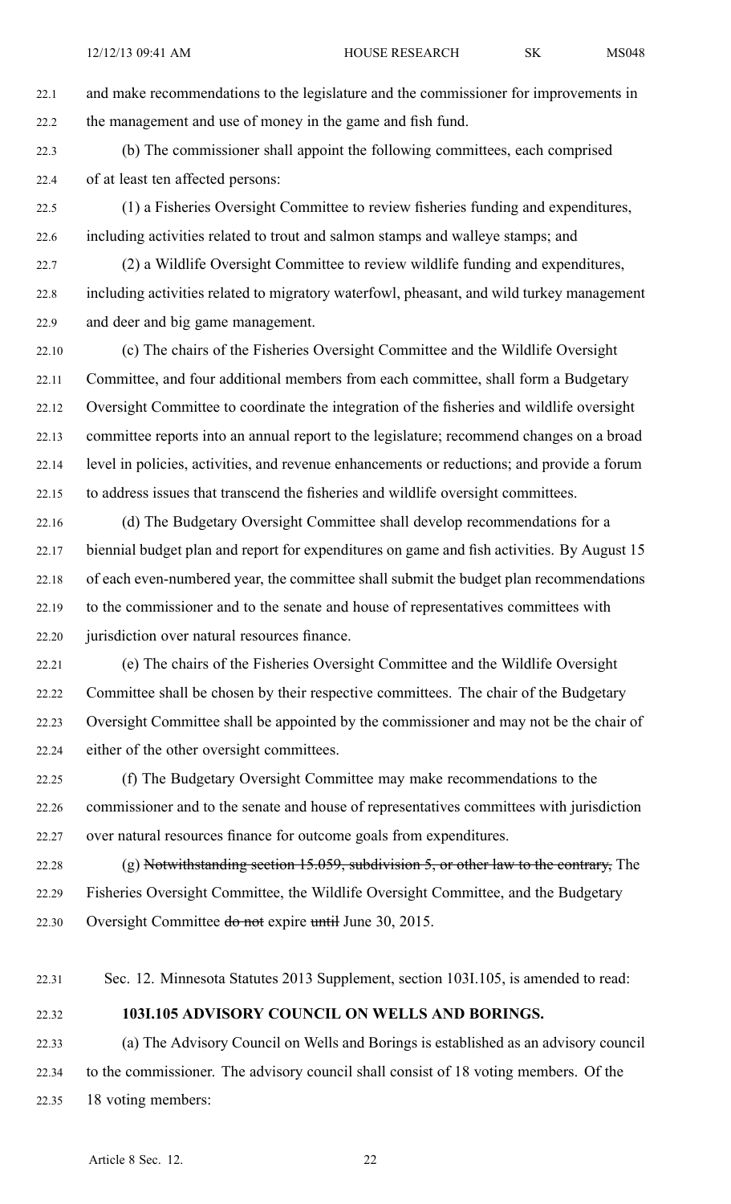22.1 and make recommendations to the legislature and the commissioner for improvements in 22.2 the managemen<sup>t</sup> and use of money in the game and fish fund.

22.3 (b) The commissioner shall appoint the following committees, each comprised 22.4 of at least ten affected persons:

22.5 (1) <sup>a</sup> Fisheries Oversight Committee to review fisheries funding and expenditures, 22.6 including activities related to trout and salmon stamps and walleye stamps; and

22.7 (2) <sup>a</sup> Wildlife Oversight Committee to review wildlife funding and expenditures, 22.8 including activities related to migratory waterfowl, pheasant, and wild turkey managemen<sup>t</sup> 22.9 and deer and big game management.

22.10 (c) The chairs of the Fisheries Oversight Committee and the Wildlife Oversight 22.11 Committee, and four additional members from each committee, shall form <sup>a</sup> Budgetary 22.12 Oversight Committee to coordinate the integration of the fisheries and wildlife oversight 22.13 committee reports into an annual repor<sup>t</sup> to the legislature; recommend changes on <sup>a</sup> broad 22.14 level in policies, activities, and revenue enhancements or reductions; and provide <sup>a</sup> forum 22.15 to address issues that transcend the fisheries and wildlife oversight committees.

22.16 (d) The Budgetary Oversight Committee shall develop recommendations for <sup>a</sup> 22.17 biennial budget plan and repor<sup>t</sup> for expenditures on game and fish activities. By August 15 22.18 of each even-numbered year, the committee shall submit the budget plan recommendations 22.19 to the commissioner and to the senate and house of representatives committees with 22.20 jurisdiction over natural resources finance.

22.21 (e) The chairs of the Fisheries Oversight Committee and the Wildlife Oversight 22.22 Committee shall be chosen by their respective committees. The chair of the Budgetary 22.23 Oversight Committee shall be appointed by the commissioner and may not be the chair of 22.24 either of the other oversight committees.

22.25 (f) The Budgetary Oversight Committee may make recommendations to the 22.26 commissioner and to the senate and house of representatives committees with jurisdiction 22.27 over natural resources finance for outcome goals from expenditures.

22.28 (g) Notwithstanding section 15.059, subdivision 5, or other law to the contrary, The 22.29 Fisheries Oversight Committee, the Wildlife Oversight Committee, and the Budgetary 22.30 Oversight Committee do not expire until June 30, 2015.

22.31 Sec. 12. Minnesota Statutes 2013 Supplement, section 103I.105, is amended to read:

### 22.32 **103I.105 ADVISORY COUNCIL ON WELLS AND BORINGS.**

22.33 (a) The Advisory Council on Wells and Borings is established as an advisory council 22.34 to the commissioner. The advisory council shall consist of 18 voting members. Of the 22.35 18 voting members: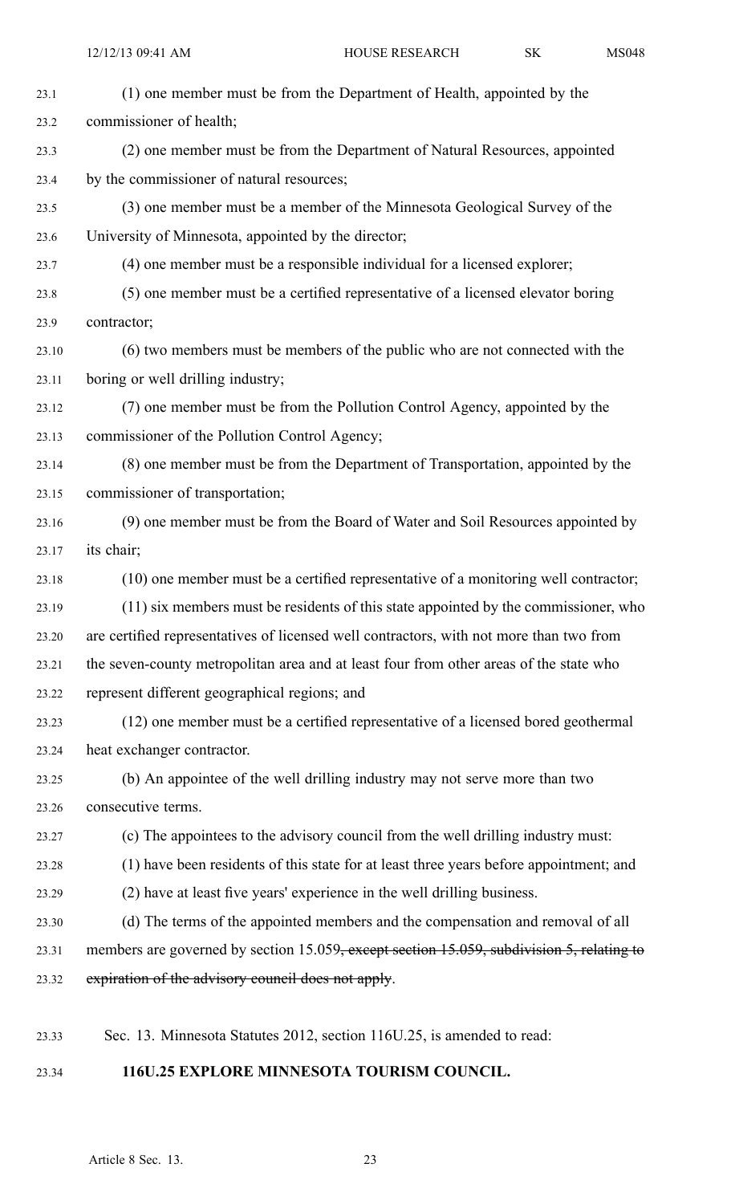| 23.1  | (1) one member must be from the Department of Health, appointed by the                    |
|-------|-------------------------------------------------------------------------------------------|
| 23.2  | commissioner of health;                                                                   |
| 23.3  | (2) one member must be from the Department of Natural Resources, appointed                |
| 23.4  | by the commissioner of natural resources;                                                 |
| 23.5  | (3) one member must be a member of the Minnesota Geological Survey of the                 |
| 23.6  | University of Minnesota, appointed by the director;                                       |
| 23.7  | (4) one member must be a responsible individual for a licensed explorer;                  |
| 23.8  | (5) one member must be a certified representative of a licensed elevator boring           |
| 23.9  | contractor;                                                                               |
| 23.10 | (6) two members must be members of the public who are not connected with the              |
| 23.11 | boring or well drilling industry;                                                         |
| 23.12 | (7) one member must be from the Pollution Control Agency, appointed by the                |
| 23.13 | commissioner of the Pollution Control Agency;                                             |
| 23.14 | (8) one member must be from the Department of Transportation, appointed by the            |
| 23.15 | commissioner of transportation;                                                           |
| 23.16 | (9) one member must be from the Board of Water and Soil Resources appointed by            |
| 23.17 | its chair;                                                                                |
| 23.18 | (10) one member must be a certified representative of a monitoring well contractor;       |
| 23.19 | (11) six members must be residents of this state appointed by the commissioner, who       |
| 23.20 | are certified representatives of licensed well contractors, with not more than two from   |
| 23.21 | the seven-county metropolitan area and at least four from other areas of the state who    |
| 23.22 | represent different geographical regions; and                                             |
| 23.23 | (12) one member must be a certified representative of a licensed bored geothermal         |
| 23.24 | heat exchanger contractor.                                                                |
| 23.25 | (b) An appointee of the well drilling industry may not serve more than two                |
| 23.26 | consecutive terms.                                                                        |
| 23.27 | (c) The appointees to the advisory council from the well drilling industry must:          |
| 23.28 | (1) have been residents of this state for at least three years before appointment; and    |
| 23.29 | (2) have at least five years' experience in the well drilling business.                   |
| 23.30 | (d) The terms of the appointed members and the compensation and removal of all            |
| 23.31 | members are governed by section 15.059, except section 15.059, subdivision 5, relating to |
| 23.32 | expiration of the advisory council does not apply.                                        |
|       |                                                                                           |
| 23.33 | Sec. 13. Minnesota Statutes 2012, section 116U.25, is amended to read:                    |
|       |                                                                                           |

# 23.34 **116U.25 EXPLORE MINNESOTA TOURISM COUNCIL.**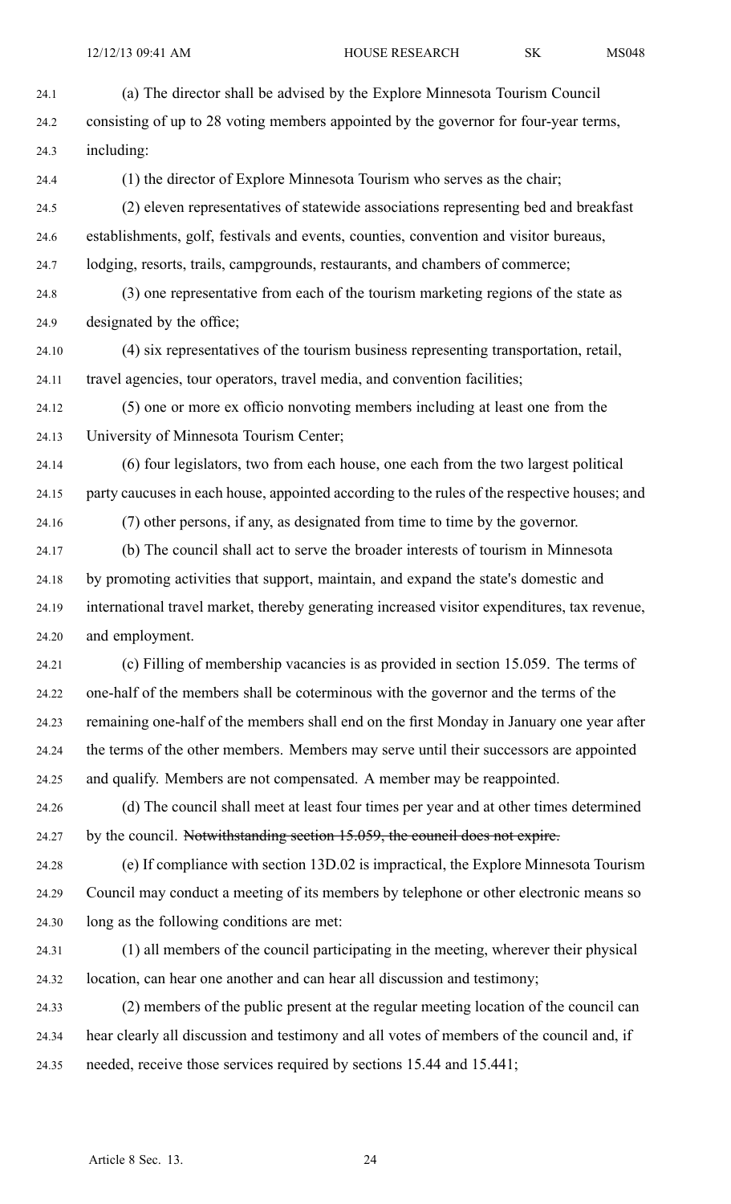24.1 (a) The director shall be advised by the Explore Minnesota Tourism Council 24.2 consisting of up to 28 voting members appointed by the governor for four-year terms, 24.3 including: 24.4 (1) the director of Explore Minnesota Tourism who serves as the chair; 24.5 (2) eleven representatives of statewide associations representing bed and breakfast 24.6 establishments, golf, festivals and events, counties, convention and visitor bureaus, 24.7 lodging, resorts, trails, campgrounds, restaurants, and chambers of commerce; 24.8 (3) one representative from each of the tourism marketing regions of the state as 24.9 designated by the office; 24.10 (4) six representatives of the tourism business representing transportation, retail, 24.11 travel agencies, tour operators, travel media, and convention facilities; 24.12 (5) one or more ex officio nonvoting members including at least one from the 24.13 University of Minnesota Tourism Center; 24.14 (6) four legislators, two from each house, one each from the two largest political 24.15 party caucuses in each house, appointed according to the rules of the respective houses; and 24.16 (7) other persons, if any, as designated from time to time by the governor. 24.17 (b) The council shall act to serve the broader interests of tourism in Minnesota 24.18 by promoting activities that support, maintain, and expand the state's domestic and 24.19 international travel market, thereby generating increased visitor expenditures, tax revenue, 24.20 and employment. 24.21 (c) Filling of membership vacancies is as provided in section 15.059. The terms of 24.22 one-half of the members shall be coterminous with the governor and the terms of the 24.23 remaining one-half of the members shall end on the first Monday in January one year after 24.24 the terms of the other members. Members may serve until their successors are appointed 24.25 and qualify. Members are not compensated. A member may be reappointed. 24.26 (d) The council shall meet at least four times per year and at other times determined 24.27 by the council. Notwithstanding section 15.059, the council does not expire.

24.28 (e) If compliance with section 13D.02 is impractical, the Explore Minnesota Tourism 24.29 Council may conduct <sup>a</sup> meeting of its members by telephone or other electronic means so 24.30 long as the following conditions are met:

24.31 (1) all members of the council participating in the meeting, wherever their physical 24.32 location, can hear one another and can hear all discussion and testimony;

24.33 (2) members of the public presen<sup>t</sup> at the regular meeting location of the council can 24.34 hear clearly all discussion and testimony and all votes of members of the council and, if 24.35 needed, receive those services required by sections 15.44 and 15.441;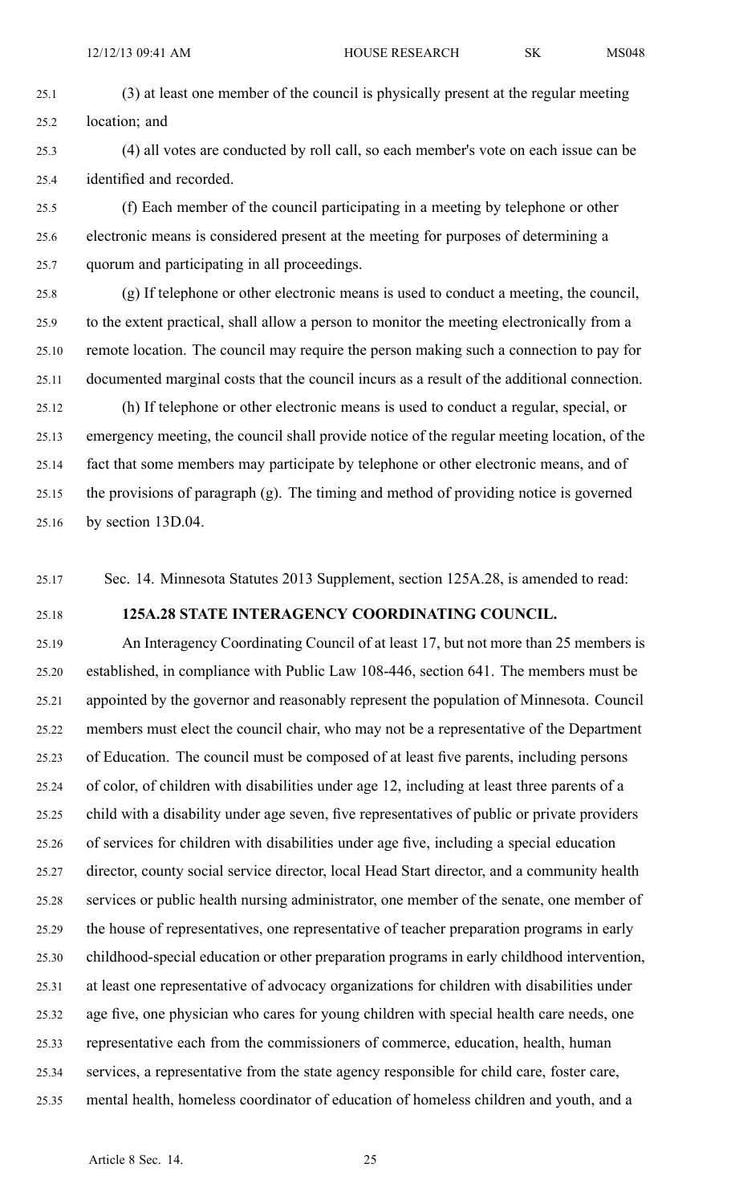- 25.1 (3) at least one member of the council is physically presen<sup>t</sup> at the regular meeting 25.2 location; and
- 25.3 (4) all votes are conducted by roll call, so each member's vote on each issue can be 25.4 identified and recorded.

25.5 (f) Each member of the council participating in <sup>a</sup> meeting by telephone or other 25.6 electronic means is considered presen<sup>t</sup> at the meeting for purposes of determining <sup>a</sup> 25.7 quorum and participating in all proceedings.

25.8 (g) If telephone or other electronic means is used to conduct <sup>a</sup> meeting, the council, 25.9 to the extent practical, shall allow <sup>a</sup> person to monitor the meeting electronically from <sup>a</sup> 25.10 remote location. The council may require the person making such <sup>a</sup> connection to pay for 25.11 documented marginal costs that the council incurs as <sup>a</sup> result of the additional connection.

25.12 (h) If telephone or other electronic means is used to conduct <sup>a</sup> regular, special, or 25.13 emergency meeting, the council shall provide notice of the regular meeting location, of the 25.14 fact that some members may participate by telephone or other electronic means, and of 25.15 the provisions of paragraph (g). The timing and method of providing notice is governed 25.16 by section 13D.04.

25.17 Sec. 14. Minnesota Statutes 2013 Supplement, section 125A.28, is amended to read:

#### 25.18 **125A.28 STATE INTERAGENCY COORDINATING COUNCIL.**

25.19 An Interagency Coordinating Council of at least 17, but not more than 25 members is 25.20 established, in compliance with Public Law 108-446, section 641. The members must be 25.21 appointed by the governor and reasonably represen<sup>t</sup> the population of Minnesota. Council 25.22 members must elect the council chair, who may not be <sup>a</sup> representative of the Department 25.23 of Education. The council must be composed of at least five parents, including persons 25.24 of color, of children with disabilities under age 12, including at least three parents of <sup>a</sup> 25.25 child with <sup>a</sup> disability under age seven, five representatives of public or private providers 25.26 of services for children with disabilities under age five, including <sup>a</sup> special education 25.27 director, county social service director, local Head Start director, and <sup>a</sup> community health 25.28 services or public health nursing administrator, one member of the senate, one member of 25.29 the house of representatives, one representative of teacher preparation programs in early 25.30 childhood-special education or other preparation programs in early childhood intervention, 25.31 at least one representative of advocacy organizations for children with disabilities under 25.32 age five, one physician who cares for young children with special health care needs, one 25.33 representative each from the commissioners of commerce, education, health, human 25.34 services, <sup>a</sup> representative from the state agency responsible for child care, foster care, 25.35 mental health, homeless coordinator of education of homeless children and youth, and <sup>a</sup>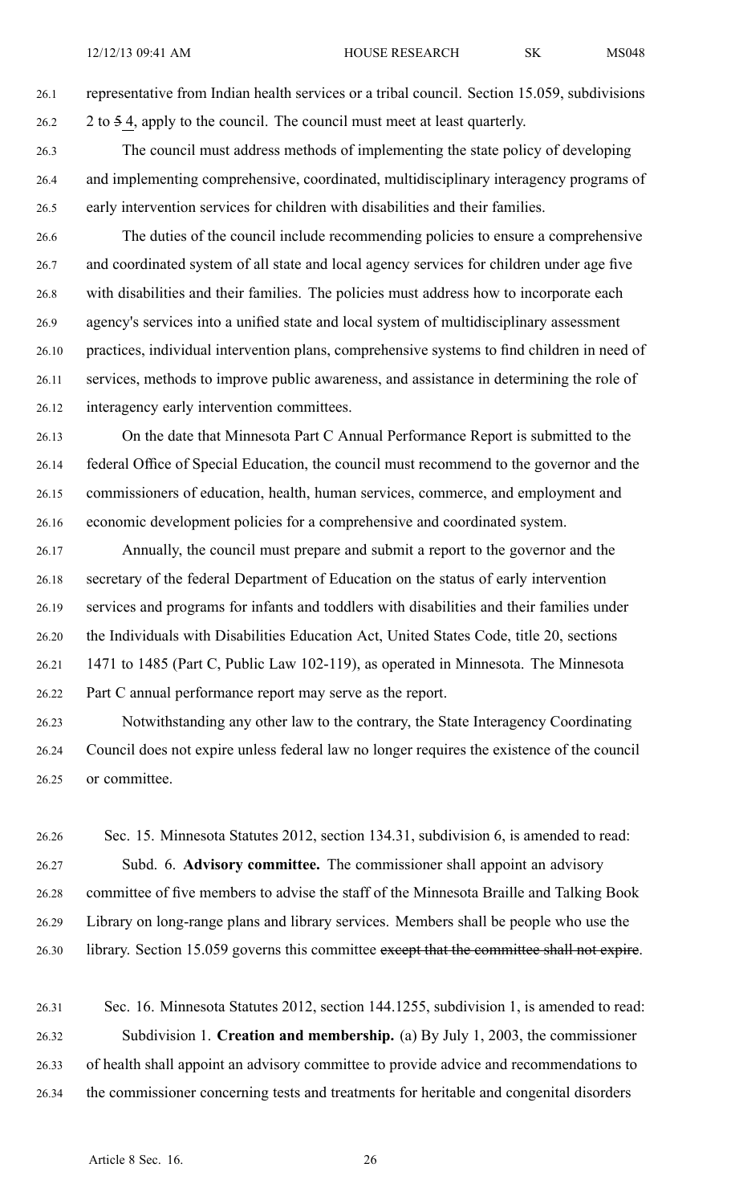26.1 representative from Indian health services or <sup>a</sup> tribal council. Section 15.059, subdivisions 26.2 2 to 5 4, apply to the council. The council must meet at least quarterly.

- 26.3 The council must address methods of implementing the state policy of developing 26.4 and implementing comprehensive, coordinated, multidisciplinary interagency programs of 26.5 early intervention services for children with disabilities and their families.
- 26.6 The duties of the council include recommending policies to ensure <sup>a</sup> comprehensive 26.7 and coordinated system of all state and local agency services for children under age five 26.8 with disabilities and their families. The policies must address how to incorporate each 26.9 agency's services into <sup>a</sup> unified state and local system of multidisciplinary assessment 26.10 practices, individual intervention plans, comprehensive systems to find children in need of 26.11 services, methods to improve public awareness, and assistance in determining the role of 26.12 interagency early intervention committees.
- 26.13 On the date that Minnesota Part C Annual Performance Report is submitted to the 26.14 federal Office of Special Education, the council must recommend to the governor and the 26.15 commissioners of education, health, human services, commerce, and employment and 26.16 economic development policies for <sup>a</sup> comprehensive and coordinated system.
- 26.17 Annually, the council must prepare and submit <sup>a</sup> repor<sup>t</sup> to the governor and the 26.18 secretary of the federal Department of Education on the status of early intervention 26.19 services and programs for infants and toddlers with disabilities and their families under 26.20 the Individuals with Disabilities Education Act, United States Code, title 20, sections 26.21 1471 to 1485 (Part C, Public Law 102-119), as operated in Minnesota. The Minnesota 26.22 Part C annual performance repor<sup>t</sup> may serve as the report.
- 26.23 Notwithstanding any other law to the contrary, the State Interagency Coordinating 26.24 Council does not expire unless federal law no longer requires the existence of the council 26.25 or committee.
- 26.26 Sec. 15. Minnesota Statutes 2012, section 134.31, subdivision 6, is amended to read: 26.27 Subd. 6. **Advisory committee.** The commissioner shall appoint an advisory 26.28 committee of five members to advise the staff of the Minnesota Braille and Talking Book 26.29 Library on long-range plans and library services. Members shall be people who use the 26.30 library. Section 15.059 governs this committee excep<sup>t</sup> that the committee shall not expire.
- 26.31 Sec. 16. Minnesota Statutes 2012, section 144.1255, subdivision 1, is amended to read: 26.32 Subdivision 1. **Creation and membership.** (a) By July 1, 2003, the commissioner 26.33 of health shall appoint an advisory committee to provide advice and recommendations to 26.34 the commissioner concerning tests and treatments for heritable and congenital disorders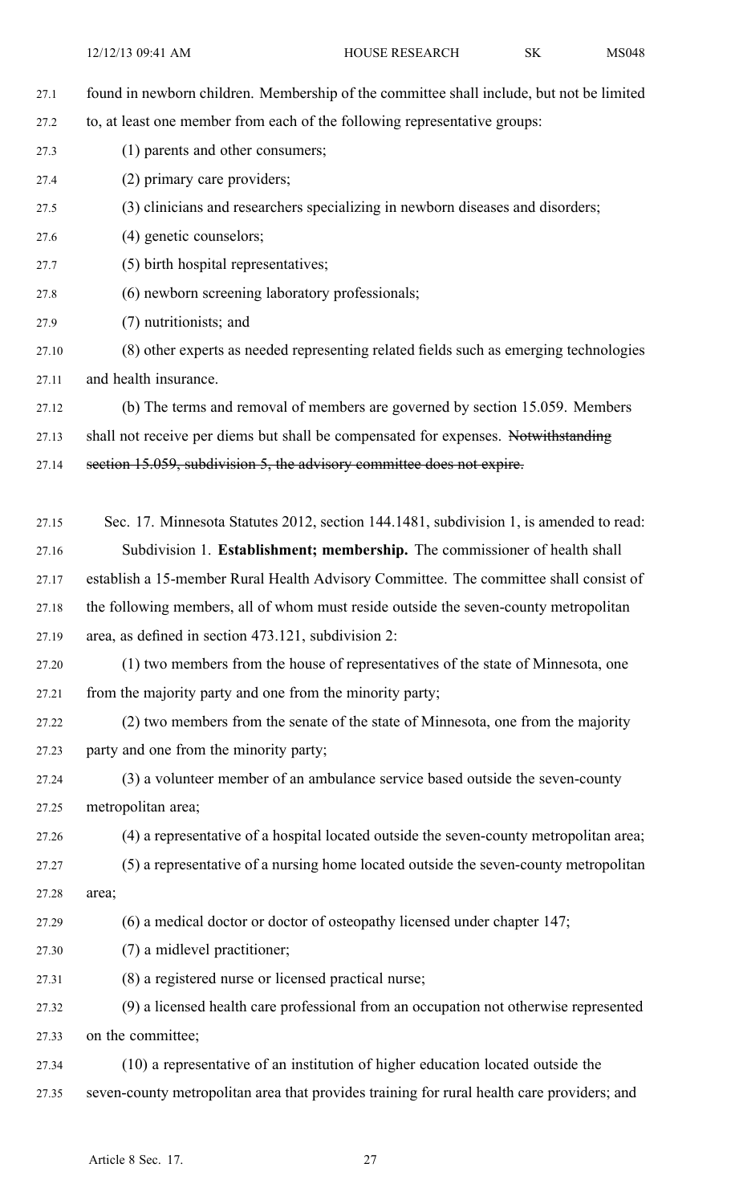12/12/13 09:41 AM HOUSE RESEARCH SK MS048 27.1 found in newborn children. Membership of the committee shall include, but not be limited 27.2 to, at least one member from each of the following representative groups: 27.3 (1) parents and other consumers; 27.4 (2) primary care providers; 27.5 (3) clinicians and researchers specializing in newborn diseases and disorders; 27.6 (4) genetic counselors; 27.7 (5) birth hospital representatives; 27.8 (6) newborn screening laboratory professionals; 27.9 (7) nutritionists; and 27.10 (8) other experts as needed representing related fields such as emerging technologies 27.11 and health insurance. 27.12 (b) The terms and removal of members are governed by section 15.059. Members 27.13 shall not receive per diems but shall be compensated for expenses. Notwithstanding 27.14 section 15.059, subdivision 5, the advisory committee does not expire. 27.15 Sec. 17. Minnesota Statutes 2012, section 144.1481, subdivision 1, is amended to read: 27.16 Subdivision 1. **Establishment; membership.** The commissioner of health shall 27.17 establish <sup>a</sup> 15-member Rural Health Advisory Committee. The committee shall consist of 27.18 the following members, all of whom must reside outside the seven-county metropolitan 27.19 area, as defined in section 473.121, subdivision 2: 27.20 (1) two members from the house of representatives of the state of Minnesota, one 27.21 from the majority party and one from the minority party; 27.22 (2) two members from the senate of the state of Minnesota, one from the majority 27.23 party and one from the minority party; 27.24 (3) <sup>a</sup> volunteer member of an ambulance service based outside the seven-county 27.25 metropolitan area; 27.26 (4) <sup>a</sup> representative of <sup>a</sup> hospital located outside the seven-county metropolitan area; 27.27 (5) <sup>a</sup> representative of <sup>a</sup> nursing home located outside the seven-county metropolitan 27.28 area; 27.29 (6) <sup>a</sup> medical doctor or doctor of osteopathy licensed under chapter 147; 27.30 (7) <sup>a</sup> midlevel practitioner; 27.31 (8) <sup>a</sup> registered nurse or licensed practical nurse; 27.32 (9) <sup>a</sup> licensed health care professional from an occupation not otherwise represented 27.33 on the committee; 27.34 (10) <sup>a</sup> representative of an institution of higher education located outside the

27.35 seven-county metropolitan area that provides training for rural health care providers; and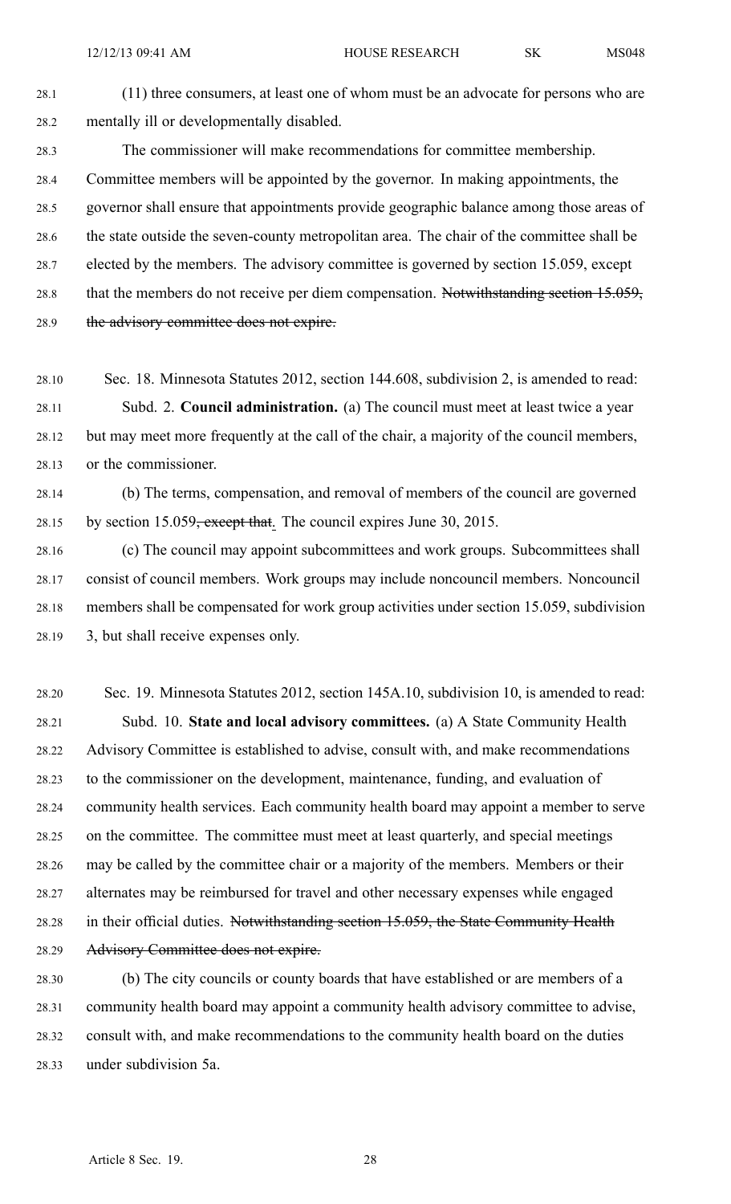28.1 (11) three consumers, at least one of whom must be an advocate for persons who are 28.2 mentally ill or developmentally disabled.

28.3 The commissioner will make recommendations for committee membership. 28.4 Committee members will be appointed by the governor. In making appointments, the 28.5 governor shall ensure that appointments provide geographic balance among those areas of 28.6 the state outside the seven-county metropolitan area. The chair of the committee shall be 28.7 elected by the members. The advisory committee is governed by section 15.059, excep<sup>t</sup> 28.8 that the members do not receive per diem compensation. Notwithstanding section 15.059, 28.9 the advisory committee does not expire.

28.10 Sec. 18. Minnesota Statutes 2012, section 144.608, subdivision 2, is amended to read: 28.11 Subd. 2. **Council administration.** (a) The council must meet at least twice <sup>a</sup> year 28.12 but may meet more frequently at the call of the chair, <sup>a</sup> majority of the council members, 28.13 or the commissioner.

28.14 (b) The terms, compensation, and removal of members of the council are governed 28.15 by section 15.059<del>, except that</del>. The council expires June 30, 2015.

28.16 (c) The council may appoint subcommittees and work groups. Subcommittees shall 28.17 consist of council members. Work groups may include noncouncil members. Noncouncil 28.18 members shall be compensated for work group activities under section 15.059, subdivision 28.19 3, but shall receive expenses only.

28.20 Sec. 19. Minnesota Statutes 2012, section 145A.10, subdivision 10, is amended to read: 28.21 Subd. 10. **State and local advisory committees.** (a) A State Community Health 28.22 Advisory Committee is established to advise, consult with, and make recommendations 28.23 to the commissioner on the development, maintenance, funding, and evaluation of 28.24 community health services. Each community health board may appoint <sup>a</sup> member to serve 28.25 on the committee. The committee must meet at least quarterly, and special meetings 28.26 may be called by the committee chair or <sup>a</sup> majority of the members. Members or their 28.27 alternates may be reimbursed for travel and other necessary expenses while engaged 28.28 in their official duties. Notwithstanding section 15.059, the State Community Health 28.29 Advisory Committee does not expire.

28.30 (b) The city councils or county boards that have established or are members of <sup>a</sup> 28.31 community health board may appoint <sup>a</sup> community health advisory committee to advise, 28.32 consult with, and make recommendations to the community health board on the duties 28.33 under subdivision 5a.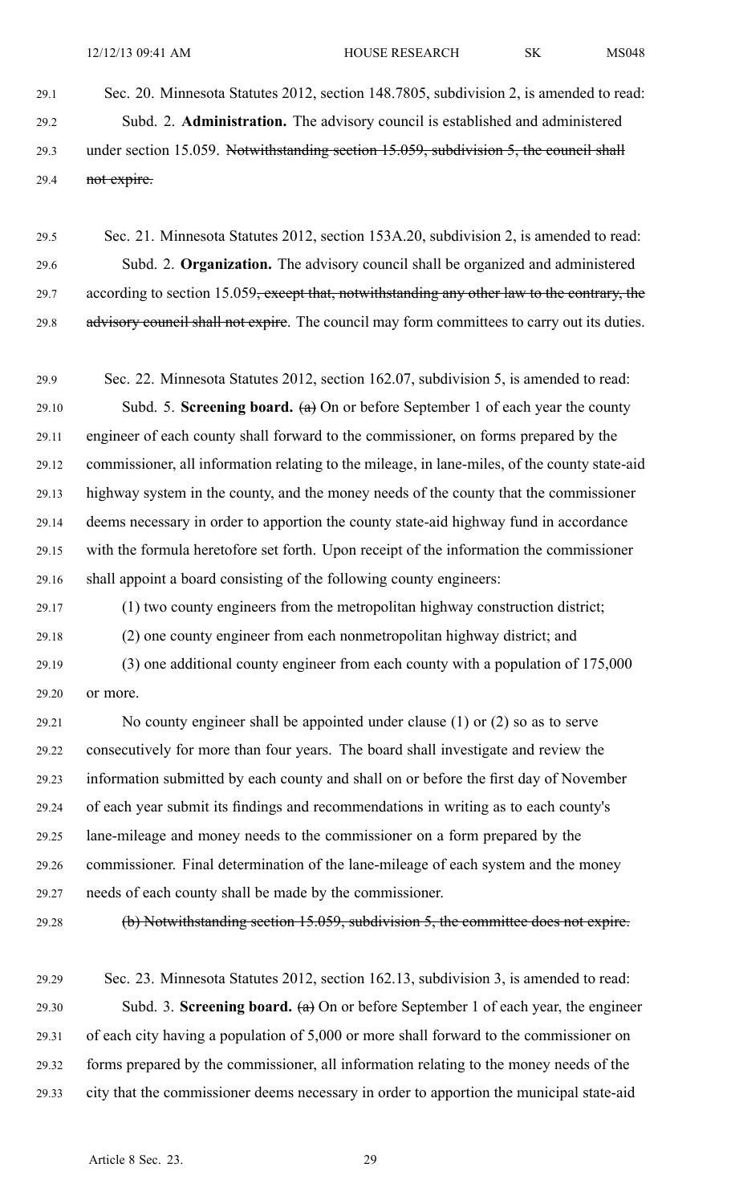29.1 Sec. 20. Minnesota Statutes 2012, section 148.7805, subdivision 2, is amended to read: 29.2 Subd. 2. **Administration.** The advisory council is established and administered 29.3 under section 15.059. Notwithstanding section 15.059, subdivision 5, the council shall 29.4 not expire.

29.5 Sec. 21. Minnesota Statutes 2012, section 153A.20, subdivision 2, is amended to read: 29.6 Subd. 2. **Organization.** The advisory council shall be organized and administered 29.7 according to section 15.059, except that, notwithstanding any other law to the contrary, the 29.8 advisory council shall not expire. The council may form committees to carry out its duties.

29.9 Sec. 22. Minnesota Statutes 2012, section 162.07, subdivision 5, is amended to read: 29.10 Subd. 5. **Screening board.** (a) On or before September 1 of each year the county 29.11 engineer of each county shall forward to the commissioner, on forms prepared by the 29.12 commissioner, all information relating to the mileage, in lane-miles, of the county state-aid 29.13 highway system in the county, and the money needs of the county that the commissioner 29.14 deems necessary in order to apportion the county state-aid highway fund in accordance 29.15 with the formula heretofore set forth. Upon receipt of the information the commissioner 29.16 shall appoint <sup>a</sup> board consisting of the following county engineers:

29.17 (1) two county engineers from the metropolitan highway construction district; 29.18 (2) one county engineer from each nonmetropolitan highway district; and

29.19 (3) one additional county engineer from each county with <sup>a</sup> population of 175,000 29.20 or more.

29.21 No county engineer shall be appointed under clause (1) or (2) so as to serve 29.22 consecutively for more than four years. The board shall investigate and review the 29.23 information submitted by each county and shall on or before the first day of November 29.24 of each year submit its findings and recommendations in writing as to each county's 29.25 lane-mileage and money needs to the commissioner on <sup>a</sup> form prepared by the 29.26 commissioner. Final determination of the lane-mileage of each system and the money 29.27 needs of each county shall be made by the commissioner.

29.28 (b) Notwithstanding section 15.059, subdivision 5, the committee does not expire.

29.29 Sec. 23. Minnesota Statutes 2012, section 162.13, subdivision 3, is amended to read: 29.30 Subd. 3. **Screening board.** (a) On or before September 1 of each year, the engineer 29.31 of each city having <sup>a</sup> population of 5,000 or more shall forward to the commissioner on 29.32 forms prepared by the commissioner, all information relating to the money needs of the 29.33 city that the commissioner deems necessary in order to apportion the municipal state-aid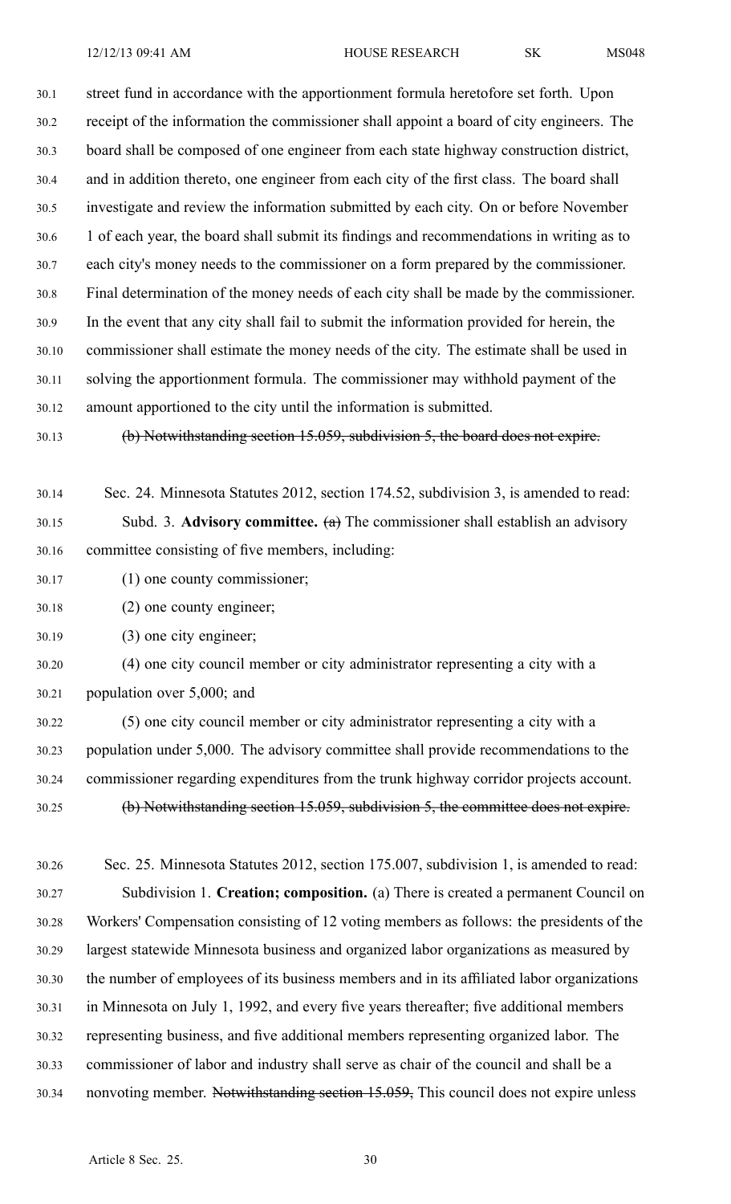12/12/13 09:41 AM HOUSE RESEARCH SK MS048

30.1 street fund in accordance with the apportionment formula heretofore set forth. Upon 30.2 receipt of the information the commissioner shall appoint <sup>a</sup> board of city engineers. The 30.3 board shall be composed of one engineer from each state highway construction district, 30.4 and in addition thereto, one engineer from each city of the first class. The board shall 30.5 investigate and review the information submitted by each city. On or before November 30.6 1 of each year, the board shall submit its findings and recommendations in writing as to 30.7 each city's money needs to the commissioner on <sup>a</sup> form prepared by the commissioner. 30.8 Final determination of the money needs of each city shall be made by the commissioner. 30.9 In the event that any city shall fail to submit the information provided for herein, the 30.10 commissioner shall estimate the money needs of the city. The estimate shall be used in 30.11 solving the apportionment formula. The commissioner may withhold paymen<sup>t</sup> of the 30.12 amount apportioned to the city until the information is submitted.

30.13 (b) Notwithstanding section 15.059, subdivision 5, the board does not expire.

30.14 Sec. 24. Minnesota Statutes 2012, section 174.52, subdivision 3, is amended to read: 30.15 Subd. 3. **Advisory committee.** (a) The commissioner shall establish an advisory 30.16 committee consisting of five members, including:

30.17 (1) one county commissioner;

30.18 (2) one county engineer;

30.19 (3) one city engineer;

30.20 (4) one city council member or city administrator representing <sup>a</sup> city with <sup>a</sup> 30.21 population over 5,000; and

30.22 (5) one city council member or city administrator representing <sup>a</sup> city with <sup>a</sup> 30.23 population under 5,000. The advisory committee shall provide recommendations to the 30.24 commissioner regarding expenditures from the trunk highway corridor projects account. 30.25 (b) Notwithstanding section 15.059, subdivision 5, the committee does not expire.

30.26 Sec. 25. Minnesota Statutes 2012, section 175.007, subdivision 1, is amended to read: 30.27 Subdivision 1. **Creation; composition.** (a) There is created <sup>a</sup> permanen<sup>t</sup> Council on 30.28 Workers' Compensation consisting of 12 voting members as follows: the presidents of the 30.29 largest statewide Minnesota business and organized labor organizations as measured by 30.30 the number of employees of its business members and in its affiliated labor organizations 30.31 in Minnesota on July 1, 1992, and every five years thereafter; five additional members 30.32 representing business, and five additional members representing organized labor. The 30.33 commissioner of labor and industry shall serve as chair of the council and shall be <sup>a</sup> 30.34 nonvoting member. Notwithstanding section 15.059, This council does not expire unless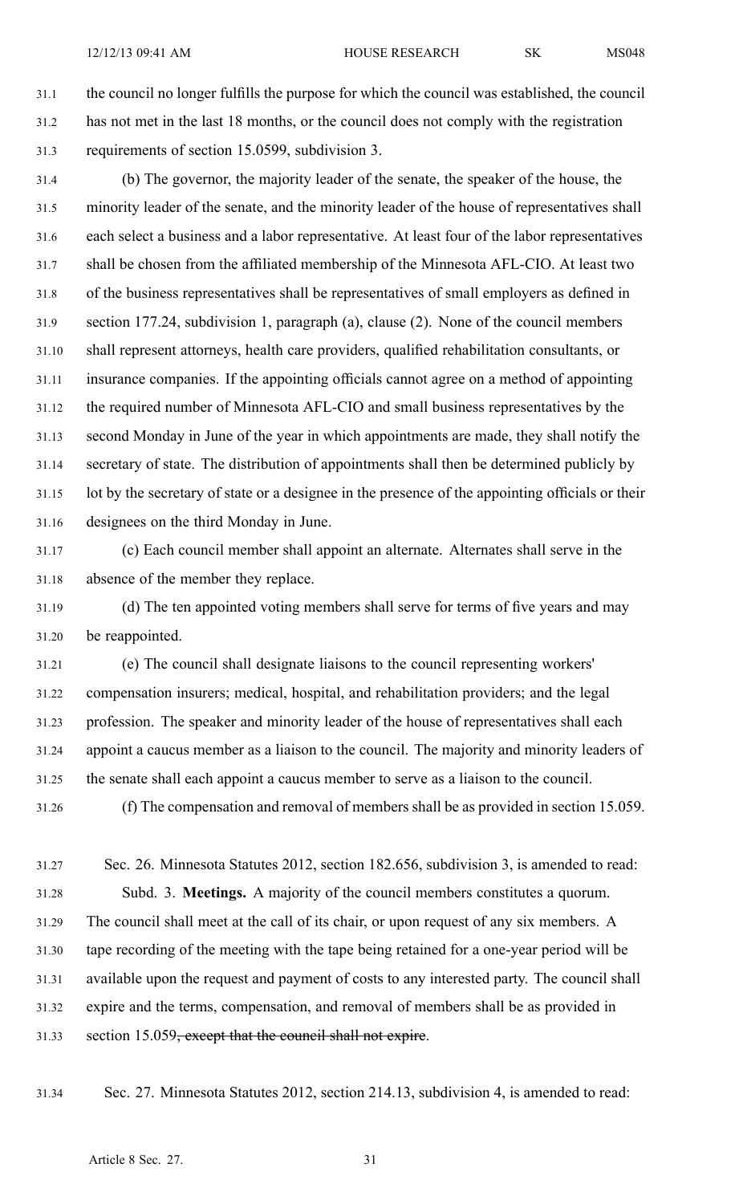31.1 the council no longer fulfills the purpose for which the council was established, the council 31.2 has not met in the last 18 months, or the council does not comply with the registration 31.3 requirements of section 15.0599, subdivision 3.

31.4 (b) The governor, the majority leader of the senate, the speaker of the house, the 31.5 minority leader of the senate, and the minority leader of the house of representatives shall 31.6 each select <sup>a</sup> business and <sup>a</sup> labor representative. At least four of the labor representatives 31.7 shall be chosen from the affiliated membership of the Minnesota AFL-CIO. At least two 31.8 of the business representatives shall be representatives of small employers as defined in 31.9 section 177.24, subdivision 1, paragraph (a), clause (2). None of the council members 31.10 shall represen<sup>t</sup> attorneys, health care providers, qualified rehabilitation consultants, or 31.11 insurance companies. If the appointing officials cannot agree on <sup>a</sup> method of appointing 31.12 the required number of Minnesota AFL-CIO and small business representatives by the 31.13 second Monday in June of the year in which appointments are made, they shall notify the 31.14 secretary of state. The distribution of appointments shall then be determined publicly by 31.15 lot by the secretary of state or <sup>a</sup> designee in the presence of the appointing officials or their 31.16 designees on the third Monday in June.

31.17 (c) Each council member shall appoint an alternate. Alternates shall serve in the 31.18 absence of the member they replace.

31.19 (d) The ten appointed voting members shall serve for terms of five years and may 31.20 be reappointed.

31.21 (e) The council shall designate liaisons to the council representing workers' 31.22 compensation insurers; medical, hospital, and rehabilitation providers; and the legal 31.23 profession. The speaker and minority leader of the house of representatives shall each 31.24 appoint <sup>a</sup> caucus member as <sup>a</sup> liaison to the council. The majority and minority leaders of 31.25 the senate shall each appoint <sup>a</sup> caucus member to serve as <sup>a</sup> liaison to the council.

31.26 (f) The compensation and removal of members shall be as provided in section 15.059.

31.27 Sec. 26. Minnesota Statutes 2012, section 182.656, subdivision 3, is amended to read: 31.28 Subd. 3. **Meetings.** A majority of the council members constitutes <sup>a</sup> quorum. 31.29 The council shall meet at the call of its chair, or upon reques<sup>t</sup> of any six members. A 31.30 tape recording of the meeting with the tape being retained for <sup>a</sup> one-year period will be 31.31 available upon the reques<sup>t</sup> and paymen<sup>t</sup> of costs to any interested party. The council shall 31.32 expire and the terms, compensation, and removal of members shall be as provided in 31.33 section 15.059<del>, except that the council shall not expire</del>.

31.34 Sec. 27. Minnesota Statutes 2012, section 214.13, subdivision 4, is amended to read: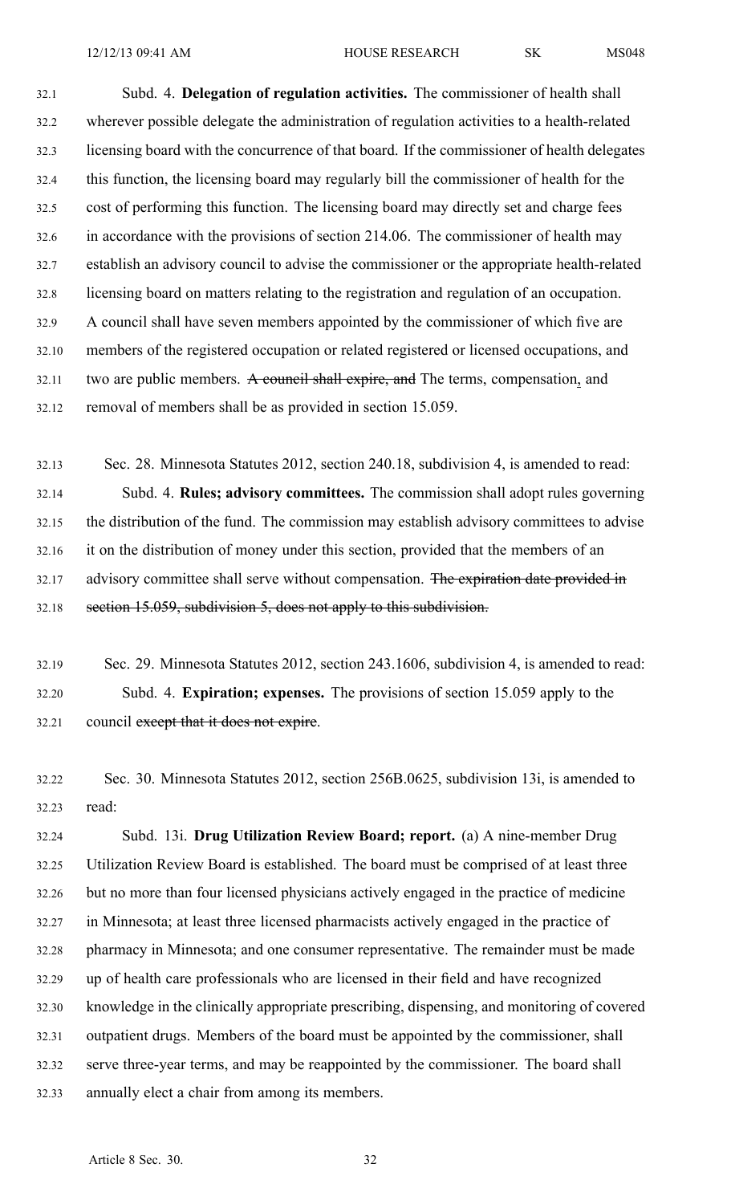32.1 Subd. 4. **Delegation of regulation activities.** The commissioner of health shall 32.2 wherever possible delegate the administration of regulation activities to <sup>a</sup> health-related 32.3 licensing board with the concurrence of that board. If the commissioner of health delegates 32.4 this function, the licensing board may regularly bill the commissioner of health for the 32.5 cost of performing this function. The licensing board may directly set and charge fees 32.6 in accordance with the provisions of section 214.06. The commissioner of health may 32.7 establish an advisory council to advise the commissioner or the appropriate health-related 32.8 licensing board on matters relating to the registration and regulation of an occupation. 32.9 A council shall have seven members appointed by the commissioner of which five are 32.10 members of the registered occupation or related registered or licensed occupations, and 32.11 two are public members. A council shall expire, and The terms, compensation, and 32.12 removal of members shall be as provided in section 15.059.

32.13 Sec. 28. Minnesota Statutes 2012, section 240.18, subdivision 4, is amended to read: 32.14 Subd. 4. **Rules; advisory committees.** The commission shall adopt rules governing 32.15 the distribution of the fund. The commission may establish advisory committees to advise 32.16 it on the distribution of money under this section, provided that the members of an 32.17 advisory committee shall serve without compensation. The expiration date provided in 32.18 section 15.059, subdivision 5, does not apply to this subdivision.

32.19 Sec. 29. Minnesota Statutes 2012, section 243.1606, subdivision 4, is amended to read: 32.20 Subd. 4. **Expiration; expenses.** The provisions of section 15.059 apply to the 32.21 council except that it does not expire.

32.22 Sec. 30. Minnesota Statutes 2012, section 256B.0625, subdivision 13i, is amended to 32.23 read:

32.24 Subd. 13i. **Drug Utilization Review Board; report.** (a) A nine-member Drug 32.25 Utilization Review Board is established. The board must be comprised of at least three 32.26 but no more than four licensed physicians actively engaged in the practice of medicine 32.27 in Minnesota; at least three licensed pharmacists actively engaged in the practice of 32.28 pharmacy in Minnesota; and one consumer representative. The remainder must be made 32.29 up of health care professionals who are licensed in their field and have recognized 32.30 knowledge in the clinically appropriate prescribing, dispensing, and monitoring of covered 32.31 outpatient drugs. Members of the board must be appointed by the commissioner, shall 32.32 serve three-year terms, and may be reappointed by the commissioner. The board shall 32.33 annually elect <sup>a</sup> chair from among its members.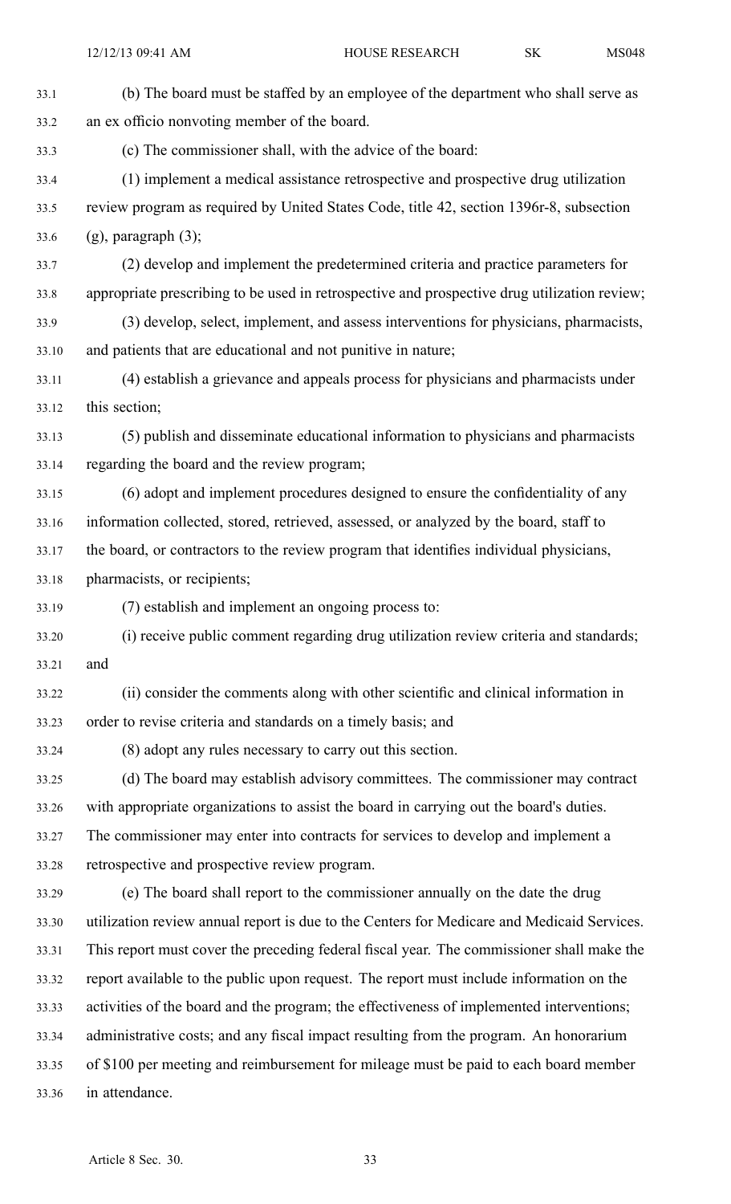| 33.1  | (b) The board must be staffed by an employee of the department who shall serve as            |
|-------|----------------------------------------------------------------------------------------------|
| 33.2  | an ex officio nonvoting member of the board.                                                 |
| 33.3  | (c) The commissioner shall, with the advice of the board:                                    |
| 33.4  | (1) implement a medical assistance retrospective and prospective drug utilization            |
| 33.5  | review program as required by United States Code, title 42, section 1396r-8, subsection      |
| 33.6  | $(g)$ , paragraph $(3)$ ;                                                                    |
| 33.7  | (2) develop and implement the predetermined criteria and practice parameters for             |
| 33.8  | appropriate prescribing to be used in retrospective and prospective drug utilization review; |
| 33.9  | (3) develop, select, implement, and assess interventions for physicians, pharmacists,        |
| 33.10 | and patients that are educational and not punitive in nature;                                |
| 33.11 | (4) establish a grievance and appeals process for physicians and pharmacists under           |
| 33.12 | this section;                                                                                |
| 33.13 | (5) publish and disseminate educational information to physicians and pharmacists            |
| 33.14 | regarding the board and the review program;                                                  |
| 33.15 | (6) adopt and implement procedures designed to ensure the confidentiality of any             |
| 33.16 | information collected, stored, retrieved, assessed, or analyzed by the board, staff to       |
| 33.17 | the board, or contractors to the review program that identifies individual physicians,       |
| 33.18 | pharmacists, or recipients;                                                                  |
| 33.19 | (7) establish and implement an ongoing process to:                                           |
| 33.20 | (i) receive public comment regarding drug utilization review criteria and standards;         |
| 33.21 | and                                                                                          |
| 33.22 | (ii) consider the comments along with other scientific and clinical information in           |
| 33.23 | order to revise criteria and standards on a timely basis; and                                |
| 33.24 | (8) adopt any rules necessary to carry out this section.                                     |
| 33.25 | (d) The board may establish advisory committees. The commissioner may contract               |
| 33.26 | with appropriate organizations to assist the board in carrying out the board's duties.       |
| 33.27 | The commissioner may enter into contracts for services to develop and implement a            |
| 33.28 | retrospective and prospective review program.                                                |
| 33.29 | (e) The board shall report to the commissioner annually on the date the drug                 |
| 33.30 | utilization review annual report is due to the Centers for Medicare and Medicaid Services.   |
| 33.31 | This report must cover the preceding federal fiscal year. The commissioner shall make the    |
| 33.32 | report available to the public upon request. The report must include information on the      |
| 33.33 | activities of the board and the program; the effectiveness of implemented interventions;     |
| 33.34 | administrative costs; and any fiscal impact resulting from the program. An honorarium        |
| 33.35 | of \$100 per meeting and reimbursement for mileage must be paid to each board member         |
| 33.36 | in attendance.                                                                               |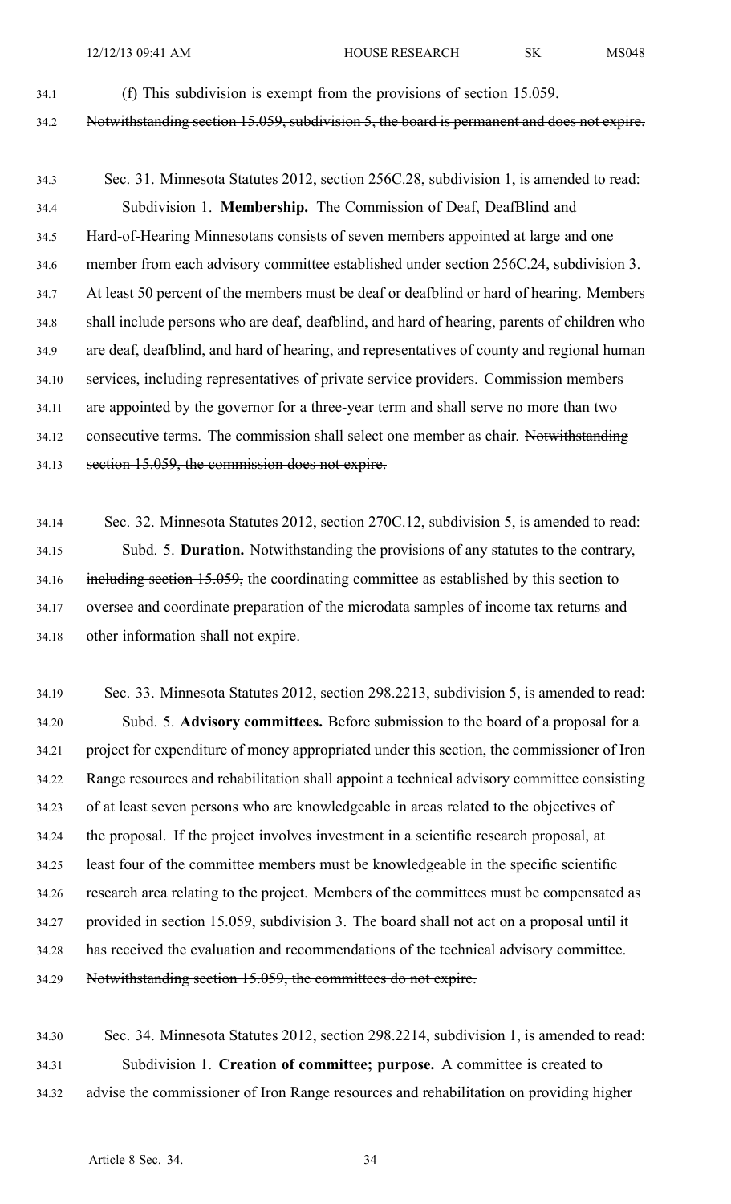34.1 (f) This subdivision is exemp<sup>t</sup> from the provisions of section 15.059.

34.2 Notwithstanding section 15.059, subdivision 5, the board is permanen<sup>t</sup> and does not expire.

34.3 Sec. 31. Minnesota Statutes 2012, section 256C.28, subdivision 1, is amended to read: 34.4 Subdivision 1. **Membership.** The Commission of Deaf, DeafBlind and 34.5 Hard-of-Hearing Minnesotans consists of seven members appointed at large and one 34.6 member from each advisory committee established under section 256C.24, subdivision 3. 34.7 At least 50 percen<sup>t</sup> of the members must be deaf or deafblind or hard of hearing. Members 34.8 shall include persons who are deaf, deafblind, and hard of hearing, parents of children who 34.9 are deaf, deafblind, and hard of hearing, and representatives of county and regional human 34.10 services, including representatives of private service providers. Commission members 34.11 are appointed by the governor for <sup>a</sup> three-year term and shall serve no more than two 34.12 consecutive terms. The commission shall select one member as chair. Notwithstanding 34.13 section 15.059, the commission does not expire.

34.14 Sec. 32. Minnesota Statutes 2012, section 270C.12, subdivision 5, is amended to read: 34.15 Subd. 5. **Duration.** Notwithstanding the provisions of any statutes to the contrary, 34.16 including section 15.059, the coordinating committee as established by this section to 34.17 oversee and coordinate preparation of the microdata samples of income tax returns and 34.18 other information shall not expire.

34.19 Sec. 33. Minnesota Statutes 2012, section 298.2213, subdivision 5, is amended to read: 34.20 Subd. 5. **Advisory committees.** Before submission to the board of <sup>a</sup> proposal for <sup>a</sup> 34.21 project for expenditure of money appropriated under this section, the commissioner of Iron 34.22 Range resources and rehabilitation shall appoint <sup>a</sup> technical advisory committee consisting 34.23 of at least seven persons who are knowledgeable in areas related to the objectives of 34.24 the proposal. If the project involves investment in <sup>a</sup> scientific research proposal, at 34.25 least four of the committee members must be knowledgeable in the specific scientific 34.26 research area relating to the project. Members of the committees must be compensated as 34.27 provided in section 15.059, subdivision 3. The board shall not act on <sup>a</sup> proposal until it 34.28 has received the evaluation and recommendations of the technical advisory committee. 34.29 Notwithstanding section 15.059, the committees do not expire.

34.30 Sec. 34. Minnesota Statutes 2012, section 298.2214, subdivision 1, is amended to read: 34.31 Subdivision 1. **Creation of committee; purpose.** A committee is created to 34.32 advise the commissioner of Iron Range resources and rehabilitation on providing higher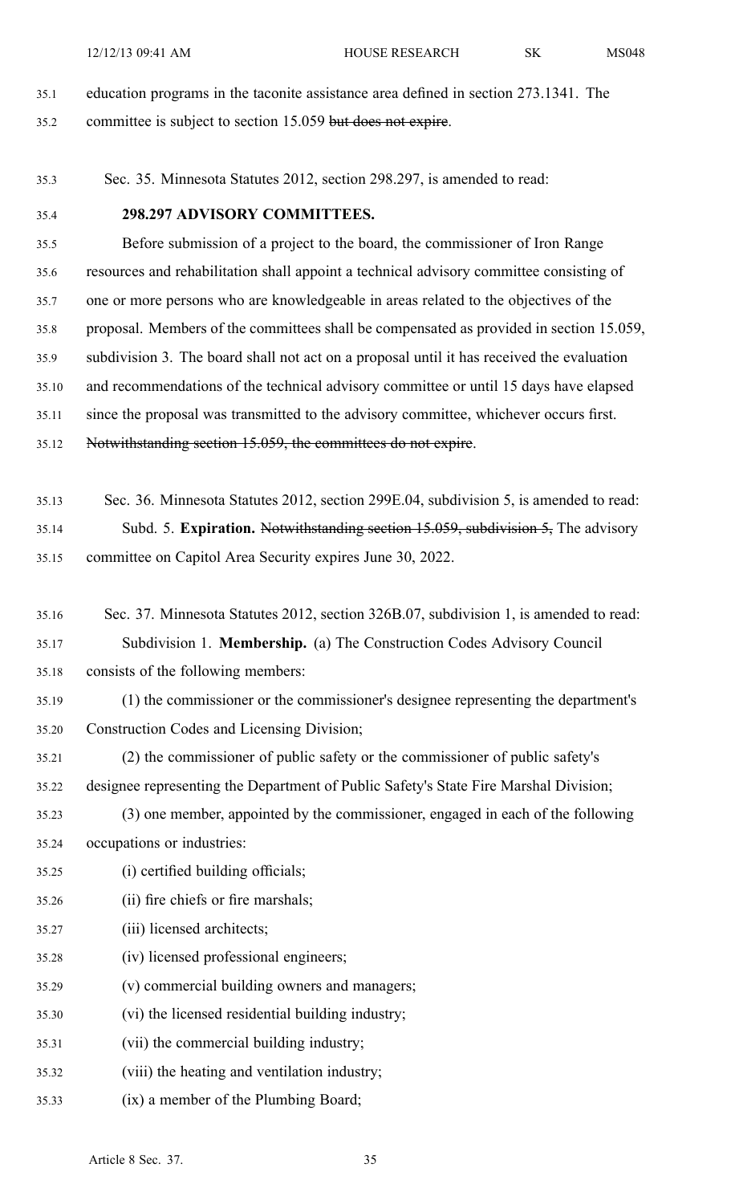12/12/13 09:41 AM HOUSE RESEARCH SK MS048

35.1 education programs in the taconite assistance area defined in section 273.1341. The 35.2 committee is subject to section 15.059 but does not expire.

- 35.3 Sec. 35. Minnesota Statutes 2012, section 298.297, is amended to read:
- 

#### 35.4 **298.297 ADVISORY COMMITTEES.**

35.5 Before submission of <sup>a</sup> project to the board, the commissioner of Iron Range 35.6 resources and rehabilitation shall appoint <sup>a</sup> technical advisory committee consisting of 35.7 one or more persons who are knowledgeable in areas related to the objectives of the 35.8 proposal. Members of the committees shall be compensated as provided in section 15.059, 35.9 subdivision 3. The board shall not act on <sup>a</sup> proposal until it has received the evaluation 35.10 and recommendations of the technical advisory committee or until 15 days have elapsed 35.11 since the proposal was transmitted to the advisory committee, whichever occurs first. 35.12 Notwithstanding section 15.059, the committees do not expire.

- 35.13 Sec. 36. Minnesota Statutes 2012, section 299E.04, subdivision 5, is amended to read: 35.14 Subd. 5. **Expiration.** Notwithstanding section 15.059, subdivision 5, The advisory 35.15 committee on Capitol Area Security expires June 30, 2022.
- 35.16 Sec. 37. Minnesota Statutes 2012, section 326B.07, subdivision 1, is amended to read: 35.17 Subdivision 1. **Membership.** (a) The Construction Codes Advisory Council
- 35.18 consists of the following members:
- 35.19 (1) the commissioner or the commissioner's designee representing the department's 35.20 Construction Codes and Licensing Division;
- 35.21 (2) the commissioner of public safety or the commissioner of public safety's
- 35.22 designee representing the Department of Public Safety's State Fire Marshal Division;
- 35.23 (3) one member, appointed by the commissioner, engaged in each of the following 35.24 occupations or industries:
- 35.25 (i) certified building officials;
- 35.26 (ii) fire chiefs or fire marshals;
- 35.27 (iii) licensed architects;
- 35.28 (iv) licensed professional engineers;
- 35.29 (v) commercial building owners and managers;
- 35.30 (vi) the licensed residential building industry;
- 35.31 (vii) the commercial building industry;
- 35.32 (viii) the heating and ventilation industry;
- 35.33 (ix) <sup>a</sup> member of the Plumbing Board;